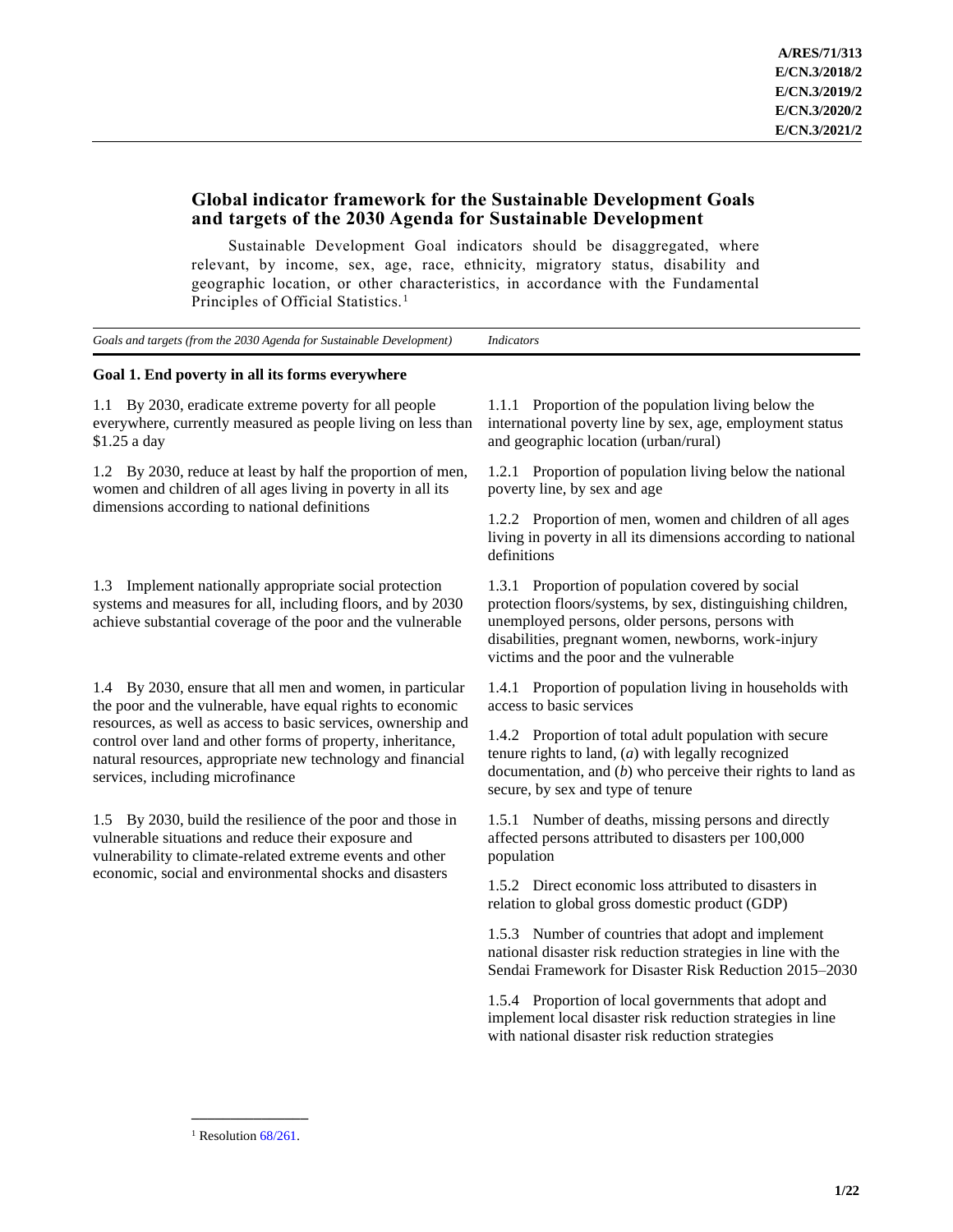# **Global indicator framework for the Sustainable Development Goals and targets of the 2030 Agenda for Sustainable Development**

Sustainable Development Goal indicators should be disaggregated, where relevant, by income, sex, age, race, ethnicity, migratory status, disability and geographic location, or other characteristics, in accordance with the Fundamental Principles of Official Statistics.<sup>1</sup>

| Goals and targets (from the 2030 Agenda for Sustainable Development) Indicators |  |
|---------------------------------------------------------------------------------|--|
|                                                                                 |  |

## **Goal 1. End poverty in all its forms everywhere**

1.1 By 2030, eradicate extreme poverty for all people everywhere, currently measured as people living on less than \$1.25 a day

1.2 By 2030, reduce at least by half the proportion of men, women and children of all ages living in poverty in all its dimensions according to national definitions

1.3 Implement nationally appropriate social protection systems and measures for all, including floors, and by 2030 achieve substantial coverage of the poor and the vulnerable

1.4 By 2030, ensure that all men and women, in particular the poor and the vulnerable, have equal rights to economic resources, as well as access to basic services, ownership and control over land and other forms of property, inheritance, natural resources, appropriate new technology and financial services, including microfinance

1.5 By 2030, build the resilience of the poor and those in vulnerable situations and reduce their exposure and vulnerability to climate-related extreme events and other economic, social and environmental shocks and disasters

1.1.1 Proportion of the population living below the international poverty line by sex, age, employment status and geographic location (urban/rural)

1.2.1 Proportion of population living below the national poverty line, by sex and age

1.2.2 Proportion of men, women and children of all ages living in poverty in all its dimensions according to national definitions

1.3.1 Proportion of population covered by social protection floors/systems, by sex, distinguishing children, unemployed persons, older persons, persons with disabilities, pregnant women, newborns, work-injury victims and the poor and the vulnerable

1.4.1 Proportion of population living in households with access to basic services

1.4.2 Proportion of total adult population with secure tenure rights to land, (*a*) with legally recognized documentation, and (*b*) who perceive their rights to land as secure, by sex and type of tenure

1.5.1 Number of deaths, missing persons and directly affected persons attributed to disasters per 100,000 population

1.5.2 Direct economic loss attributed to disasters in relation to global gross domestic product (GDP)

1.5.3 Number of countries that adopt and implement national disaster risk reduction strategies in line with the Sendai Framework for Disaster Risk Reduction 2015–2030

1.5.4 Proportion of local governments that adopt and implement local disaster risk reduction strategies in line with national disaster risk reduction strategies

**\_\_\_\_\_\_\_\_\_\_\_\_\_\_\_** <sup>1</sup> Resolution  $68/261$ .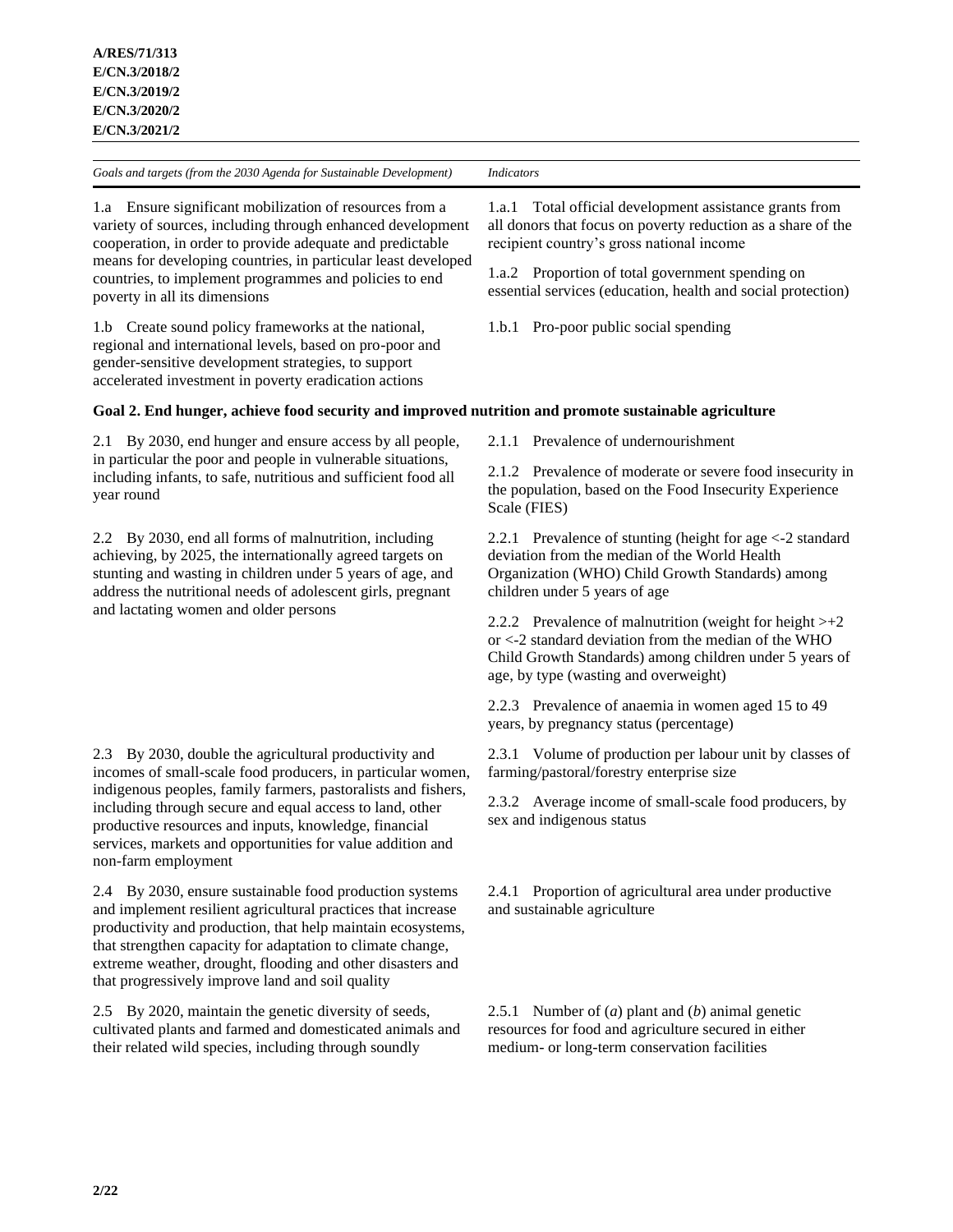1.a Ensure significant mobilization of resources from a variety of sources, including through enhanced development cooperation, in order to provide adequate and predictable means for developing countries, in particular least developed countries, to implement programmes and policies to end poverty in all its dimensions

1.b Create sound policy frameworks at the national, regional and international levels, based on pro-poor and gender-sensitive development strategies, to support accelerated investment in poverty eradication actions

1.a.1 Total official development assistance grants from all donors that focus on poverty reduction as a share of the recipient country's gross national income

1.a.2 Proportion of total government spending on essential services (education, health and social protection)

1.b.1 Pro-poor public social spending

## **Goal 2. End hunger, achieve food security and improved nutrition and promote sustainable agriculture**

2.1 By 2030, end hunger and ensure access by all people, in particular the poor and people in vulnerable situations, including infants, to safe, nutritious and sufficient food all year round

2.2 By 2030, end all forms of malnutrition, including achieving, by 2025, the internationally agreed targets on stunting and wasting in children under 5 years of age, and address the nutritional needs of adolescent girls, pregnant and lactating women and older persons

2.3 By 2030, double the agricultural productivity and incomes of small-scale food producers, in particular women, indigenous peoples, family farmers, pastoralists and fishers, including through secure and equal access to land, other productive resources and inputs, knowledge, financial services, markets and opportunities for value addition and non-farm employment

2.4 By 2030, ensure sustainable food production systems and implement resilient agricultural practices that increase productivity and production, that help maintain ecosystems, that strengthen capacity for adaptation to climate change, extreme weather, drought, flooding and other disasters and that progressively improve land and soil quality

2.5 By 2020, maintain the genetic diversity of seeds, cultivated plants and farmed and domesticated animals and their related wild species, including through soundly

2.1.1 Prevalence of undernourishment

2.1.2 Prevalence of moderate or severe food insecurity in the population, based on the Food Insecurity Experience Scale (FIES)

2.2.1 Prevalence of stunting (height for age <-2 standard deviation from the median of the World Health Organization (WHO) Child Growth Standards) among children under 5 years of age

2.2.2 Prevalence of malnutrition (weight for height  $> +2$ or <-2 standard deviation from the median of the WHO Child Growth Standards) among children under 5 years of age, by type (wasting and overweight)

2.2.3 Prevalence of anaemia in women aged 15 to 49 years, by pregnancy status (percentage)

2.3.1 Volume of production per labour unit by classes of farming/pastoral/forestry enterprise size

2.3.2 Average income of small-scale food producers, by sex and indigenous status

2.4.1 Proportion of agricultural area under productive and sustainable agriculture

2.5.1 Number of (*a*) plant and (*b*) animal genetic resources for food and agriculture secured in either medium- or long-term conservation facilities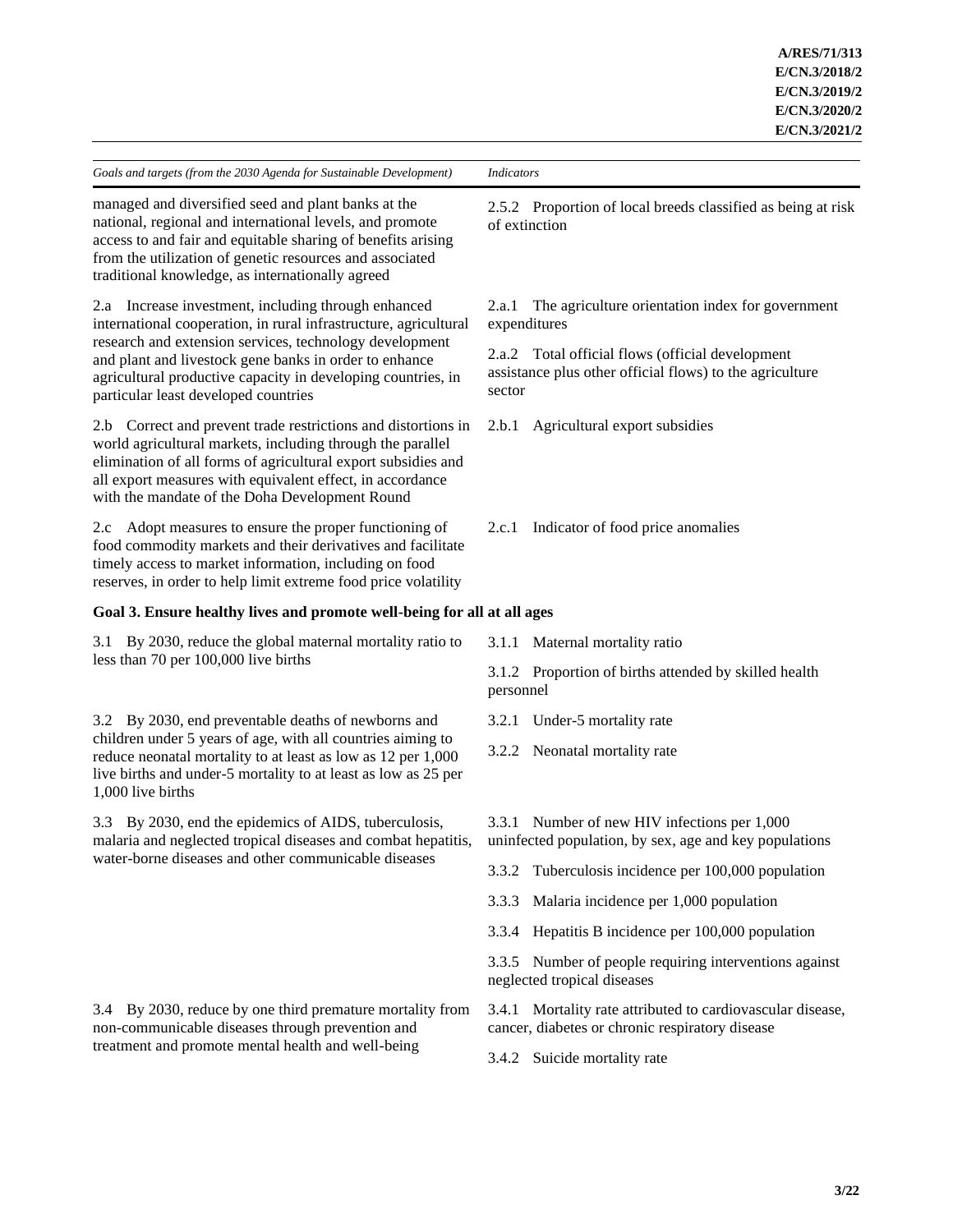managed and diversified seed and plant banks at the national, regional and international levels, and promote access to and fair and equitable sharing of benefits arising from the utilization of genetic resources and associated traditional knowledge, as internationally agreed

2.a Increase investment, including through enhanced international cooperation, in rural infrastructure, agricultural research and extension services, technology development and plant and livestock gene banks in order to enhance agricultural productive capacity in developing countries, in particular least developed countries

2.b Correct and prevent trade restrictions and distortions in world agricultural markets, including through the parallel elimination of all forms of agricultural export subsidies and all export measures with equivalent effect, in accordance with the mandate of the Doha Development Round

2.c Adopt measures to ensure the proper functioning of food commodity markets and their derivatives and facilitate timely access to market information, including on food reserves, in order to help limit extreme food price volatility

# **Goal 3. Ensure healthy lives and promote well-being for all at all ages**

3.1 By 2030, reduce the global maternal mortality ratio to less than 70 per 100,000 live births

3.2 By 2030, end preventable deaths of newborns and children under 5 years of age, with all countries aiming to reduce neonatal mortality to at least as low as 12 per 1,000 live births and under-5 mortality to at least as low as 25 per 1,000 live births

3.3 By 2030, end the epidemics of AIDS, tuberculosis, malaria and neglected tropical diseases and combat hepatitis, water-borne diseases and other communicable diseases

3.4 By 2030, reduce by one third premature mortality from non-communicable diseases through prevention and treatment and promote mental health and well-being

2.5.2 Proportion of local breeds classified as being at risk of extinction

2.a.1 The agriculture orientation index for government expenditures

2.a.2 Total official flows (official development assistance plus other official flows) to the agriculture sector

2.b.1 Agricultural export subsidies

- 2.c.1 Indicator of food price anomalies
- 3.1.1 Maternal mortality ratio

3.1.2 Proportion of births attended by skilled health personnel

- 3.2.1 Under-5 mortality rate
- 3.2.2 Neonatal mortality rate
- 3.3.1 Number of new HIV infections per 1,000 uninfected population, by sex, age and key populations
- 3.3.2 Tuberculosis incidence per 100,000 population
- 3.3.3 Malaria incidence per 1,000 population
- 3.3.4 Hepatitis B incidence per 100,000 population

3.3.5 Number of people requiring interventions against neglected tropical diseases

3.4.1 Mortality rate attributed to cardiovascular disease, cancer, diabetes or chronic respiratory disease

3.4.2 Suicide mortality rate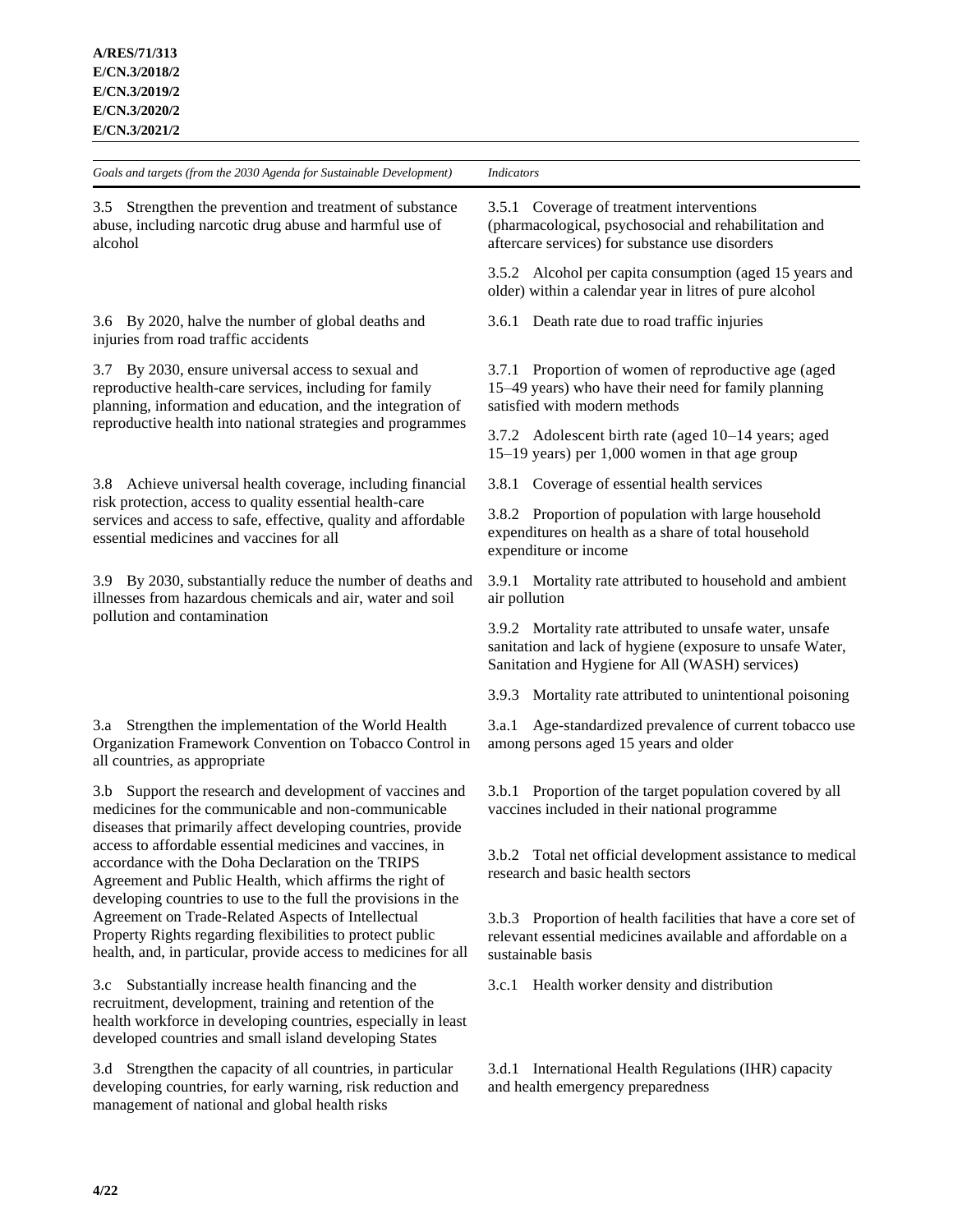3.5 Strengthen the prevention and treatment of substance abuse, including narcotic drug abuse and harmful use of alcohol

3.6 By 2020, halve the number of global deaths and injuries from road traffic accidents

3.7 By 2030, ensure universal access to sexual and reproductive health-care services, including for family planning, information and education, and the integration of reproductive health into national strategies and programmes

3.8 Achieve universal health coverage, including financial risk protection, access to quality essential health-care services and access to safe, effective, quality and affordable essential medicines and vaccines for all

3.9 By 2030, substantially reduce the number of deaths and illnesses from hazardous chemicals and air, water and soil pollution and contamination

3.a Strengthen the implementation of the World Health Organization Framework Convention on Tobacco Control in all countries, as appropriate

3.b Support the research and development of vaccines and medicines for the communicable and non-communicable diseases that primarily affect developing countries, provide access to affordable essential medicines and vaccines, in accordance with the Doha Declaration on the TRIPS Agreement and Public Health, which affirms the right of developing countries to use to the full the provisions in the Agreement on Trade-Related Aspects of Intellectual Property Rights regarding flexibilities to protect public health, and, in particular, provide access to medicines for all

3.c Substantially increase health financing and the recruitment, development, training and retention of the health workforce in developing countries, especially in least developed countries and small island developing States

3.d Strengthen the capacity of all countries, in particular developing countries, for early warning, risk reduction and management of national and global health risks

3.5.1 Coverage of treatment interventions

(pharmacological, psychosocial and rehabilitation and aftercare services) for substance use disorders

3.5.2 Alcohol per capita consumption (aged 15 years and older) within a calendar year in litres of pure alcohol

3.6.1 Death rate due to road traffic injuries

3.7.1 Proportion of women of reproductive age (aged 15–49 years) who have their need for family planning satisfied with modern methods

3.7.2 Adolescent birth rate (aged 10–14 years; aged 15–19 years) per 1,000 women in that age group

3.8.1 Coverage of essential health services

3.8.2 Proportion of population with large household expenditures on health as a share of total household expenditure or income

3.9.1 Mortality rate attributed to household and ambient air pollution

3.9.2 Mortality rate attributed to unsafe water, unsafe sanitation and lack of hygiene (exposure to unsafe Water, Sanitation and Hygiene for All (WASH) services)

3.9.3 Mortality rate attributed to unintentional poisoning

3.a.1 Age-standardized prevalence of current tobacco use among persons aged 15 years and older

3.b.1 Proportion of the target population covered by all vaccines included in their national programme

3.b.2 Total net official development assistance to medical research and basic health sectors

3.b.3 Proportion of health facilities that have a core set of relevant essential medicines available and affordable on a sustainable basis

3.c.1 Health worker density and distribution

3.d.1 International Health Regulations (IHR) capacity and health emergency preparedness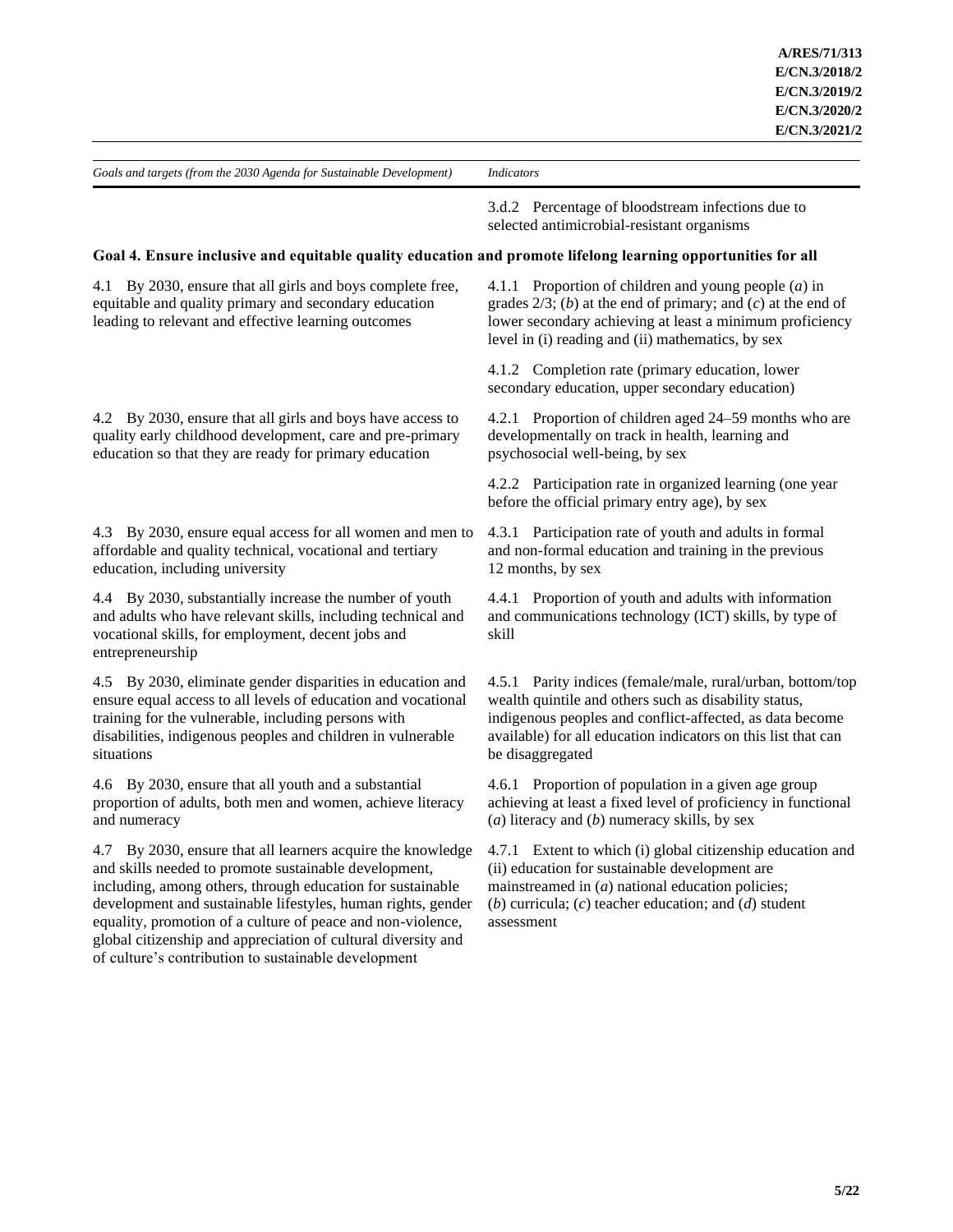global citizenship and appreciation of cultural diversity and of culture's contribution to sustainable development

3.d.2 Percentage of bloodstream infections due to selected antimicrobial-resistant organisms

## **Goal 4. Ensure inclusive and equitable quality education and promote lifelong learning opportunities for all**

4.1 By 2030, ensure that all girls and boys complete free, equitable and quality primary and secondary education leading to relevant and effective learning outcomes 4.1.1 Proportion of children and young people (*a*) in grades 2/3; (*b*) at the end of primary; and (*c*) at the end of lower secondary achieving at least a minimum proficiency level in (i) reading and (ii) mathematics, by sex 4.1.2 Completion rate (primary education, lower secondary education, upper secondary education) 4.2 By 2030, ensure that all girls and boys have access to quality early childhood development, care and pre-primary education so that they are ready for primary education 4.2.1 Proportion of children aged 24–59 months who are developmentally on track in health, learning and psychosocial well-being, by sex 4.2.2 Participation rate in organized learning (one year before the official primary entry age), by sex 4.3 By 2030, ensure equal access for all women and men to affordable and quality technical, vocational and tertiary education, including university 4.3.1 Participation rate of youth and adults in formal and non-formal education and training in the previous 12 months, by sex 4.4 By 2030, substantially increase the number of youth and adults who have relevant skills, including technical and vocational skills, for employment, decent jobs and entrepreneurship 4.4.1 Proportion of youth and adults with information and communications technology (ICT) skills, by type of skill 4.5 By 2030, eliminate gender disparities in education and ensure equal access to all levels of education and vocational training for the vulnerable, including persons with disabilities, indigenous peoples and children in vulnerable situations 4.5.1 Parity indices (female/male, rural/urban, bottom/top wealth quintile and others such as disability status, indigenous peoples and conflict-affected, as data become available) for all education indicators on this list that can be disaggregated 4.6 By 2030, ensure that all youth and a substantial proportion of adults, both men and women, achieve literacy and numeracy 4.6.1 Proportion of population in a given age group achieving at least a fixed level of proficiency in functional (*a*) literacy and (*b*) numeracy skills, by sex 4.7 By 2030, ensure that all learners acquire the knowledge and skills needed to promote sustainable development, including, among others, through education for sustainable development and sustainable lifestyles, human rights, gender equality, promotion of a culture of peace and non-violence, 4.7.1 Extent to which (i) global citizenship education and (ii) education for sustainable development are mainstreamed in (*a*) national education policies; (*b*) curricula; (*c*) teacher education; and (*d*) student assessment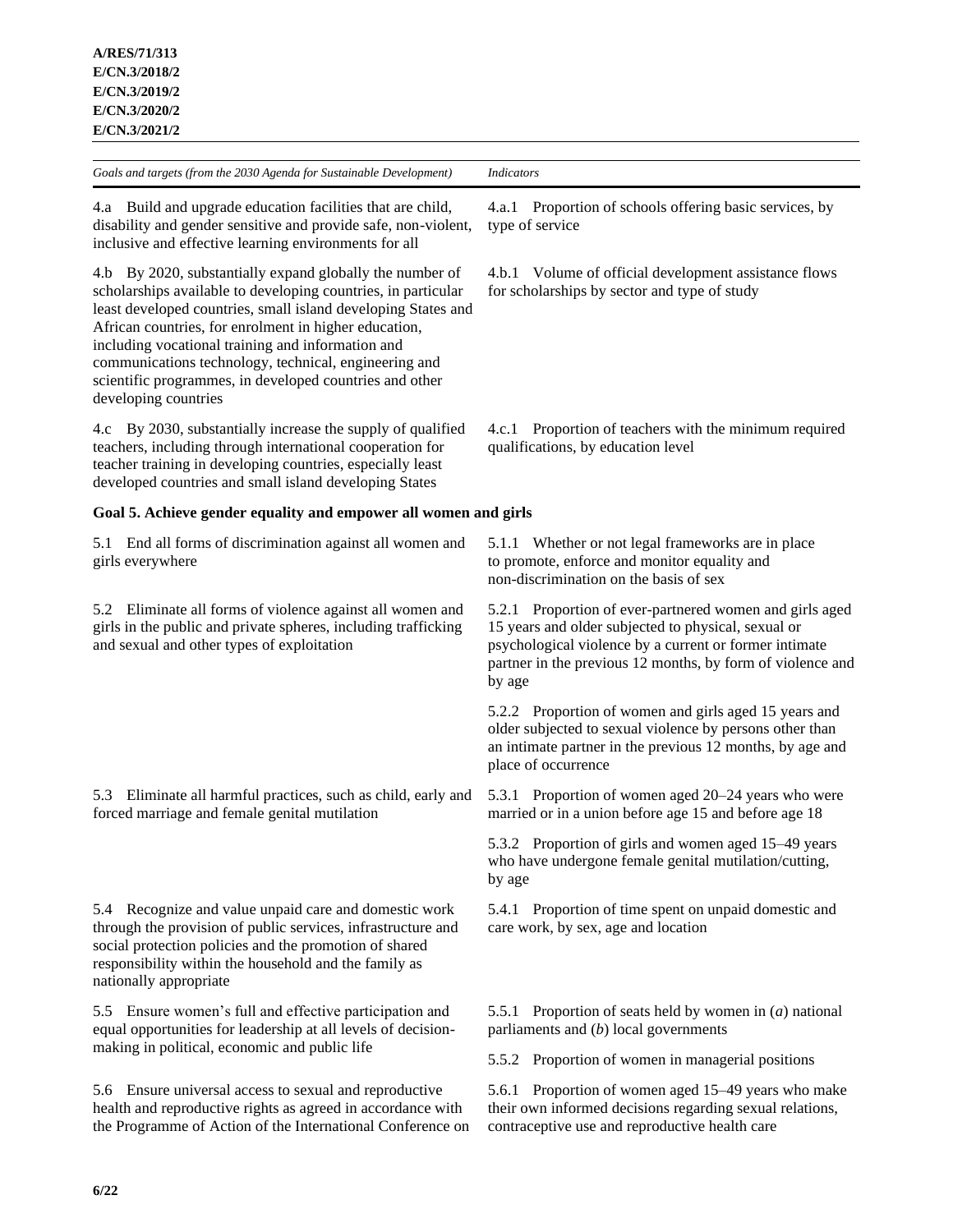*Goals and targets (from the 2030 Agenda for Sustainable Development) Indicators* 4.a Build and upgrade education facilities that are child, disability and gender sensitive and provide safe, non-violent, inclusive and effective learning environments for all 4.a.1 Proportion of schools offering basic services, by type of service 4.b By 2020, substantially expand globally the number of scholarships available to developing countries, in particular least developed countries, small island developing States and African countries, for enrolment in higher education, including vocational training and information and communications technology, technical, engineering and scientific programmes, in developed countries and other developing countries 4.b.1 Volume of official development assistance flows for scholarships by sector and type of study 4.c By 2030, substantially increase the supply of qualified teachers, including through international cooperation for teacher training in developing countries, especially least developed countries and small island developing States 4.c.1 Proportion of teachers with the minimum required qualifications, by education level **Goal 5. Achieve gender equality and empower all women and girls** 5.1 End all forms of discrimination against all women and girls everywhere 5.1.1 Whether or not legal frameworks are in place to promote, enforce and monitor equality and non-discrimination on the basis of sex 5.2 Eliminate all forms of violence against all women and girls in the public and private spheres, including trafficking and sexual and other types of exploitation 5.2.1 Proportion of ever-partnered women and girls aged 15 years and older subjected to physical, sexual or psychological violence by a current or former intimate partner in the previous 12 months, by form of violence and by age 5.2.2 Proportion of women and girls aged 15 years and older subjected to sexual violence by persons other than an intimate partner in the previous 12 months, by age and place of occurrence 5.3 Eliminate all harmful practices, such as child, early and forced marriage and female genital mutilation 5.3.1 Proportion of women aged 20–24 years who were married or in a union before age 15 and before age 18 5.3.2 Proportion of girls and women aged 15–49 years who have undergone female genital mutilation/cutting, by age 5.4 Recognize and value unpaid care and domestic work through the provision of public services, infrastructure and social protection policies and the promotion of shared responsibility within the household and the family as nationally appropriate 5.4.1 Proportion of time spent on unpaid domestic and care work, by sex, age and location 5.5 Ensure women's full and effective participation and equal opportunities for leadership at all levels of decisionmaking in political, economic and public life 5.5.1 Proportion of seats held by women in (*a*) national parliaments and (*b*) local governments 5.5.2 Proportion of women in managerial positions 5.6 Ensure universal access to sexual and reproductive health and reproductive rights as agreed in accordance with 5.6.1 Proportion of women aged 15–49 years who make their own informed decisions regarding sexual relations,

contraceptive use and reproductive health care

the Programme of Action of the International Conference on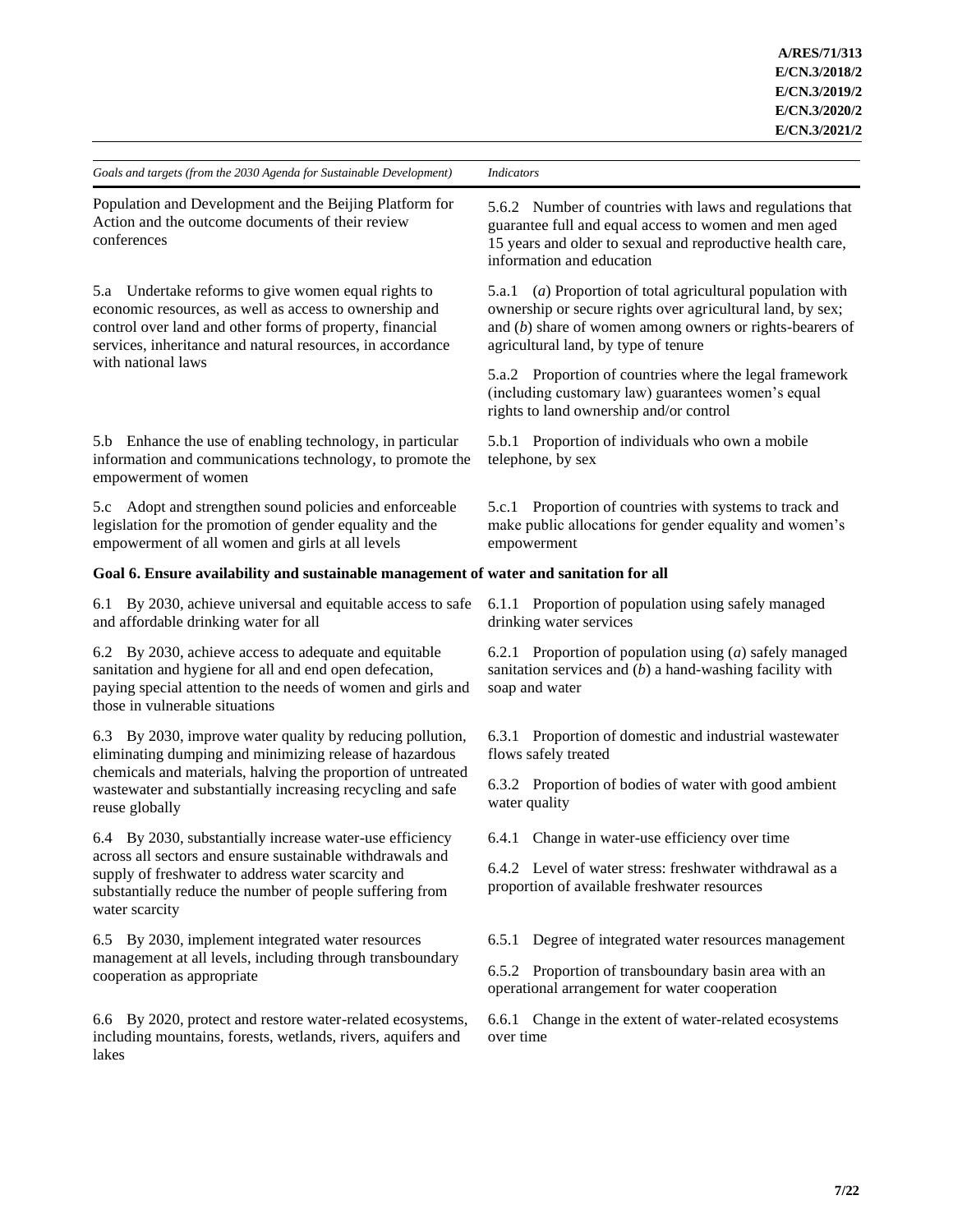| Goals and targets (from the 2030 Agenda for Sustainable Development)                                                                                                                                                                                                 | <b>Indicators</b>                                                                                                                                                                                                                 |  |
|----------------------------------------------------------------------------------------------------------------------------------------------------------------------------------------------------------------------------------------------------------------------|-----------------------------------------------------------------------------------------------------------------------------------------------------------------------------------------------------------------------------------|--|
| Population and Development and the Beijing Platform for<br>Action and the outcome documents of their review<br>conferences                                                                                                                                           | 5.6.2 Number of countries with laws and regulations that<br>guarantee full and equal access to women and men aged<br>15 years and older to sexual and reproductive health care,<br>information and education                      |  |
| 5.a Undertake reforms to give women equal rights to<br>economic resources, as well as access to ownership and<br>control over land and other forms of property, financial<br>services, inheritance and natural resources, in accordance<br>with national laws        | (a) Proportion of total agricultural population with<br>5.a.1<br>ownership or secure rights over agricultural land, by sex;<br>and $(b)$ share of women among owners or rights-bearers of<br>agricultural land, by type of tenure |  |
|                                                                                                                                                                                                                                                                      | 5.a.2 Proportion of countries where the legal framework<br>(including customary law) guarantees women's equal<br>rights to land ownership and/or control                                                                          |  |
| 5.b Enhance the use of enabling technology, in particular<br>information and communications technology, to promote the<br>empowerment of women                                                                                                                       | 5.b.1 Proportion of individuals who own a mobile<br>telephone, by sex                                                                                                                                                             |  |
| 5.c Adopt and strengthen sound policies and enforceable<br>legislation for the promotion of gender equality and the<br>empowerment of all women and girls at all levels                                                                                              | 5.c.1 Proportion of countries with systems to track and<br>make public allocations for gender equality and women's<br>empowerment                                                                                                 |  |
| Goal 6. Ensure availability and sustainable management of water and sanitation for all                                                                                                                                                                               |                                                                                                                                                                                                                                   |  |
| By 2030, achieve universal and equitable access to safe<br>6.1<br>and affordable drinking water for all                                                                                                                                                              | 6.1.1 Proportion of population using safely managed<br>drinking water services                                                                                                                                                    |  |
| 6.2 By 2030, achieve access to adequate and equitable<br>sanitation and hygiene for all and end open defecation,<br>paying special attention to the needs of women and girls and<br>those in vulnerable situations                                                   | 6.2.1 Proportion of population using $(a)$ safely managed<br>sanitation services and $(b)$ a hand-washing facility with<br>soap and water                                                                                         |  |
| 6.3 By 2030, improve water quality by reducing pollution,<br>eliminating dumping and minimizing release of hazardous<br>chemicals and materials, halving the proportion of untreated<br>wastewater and substantially increasing recycling and safe<br>reuse globally | 6.3.1 Proportion of domestic and industrial wastewater<br>flows safely treated                                                                                                                                                    |  |
|                                                                                                                                                                                                                                                                      | 6.3.2 Proportion of bodies of water with good ambient<br>water quality                                                                                                                                                            |  |
| 6.4 By 2030, substantially increase water-use efficiency<br>across all sectors and ensure sustainable withdrawals and<br>supply of freshwater to address water scarcity and<br>substantially reduce the number of people suffering from<br>water scarcity            | 6.4.1 Change in water-use efficiency over time                                                                                                                                                                                    |  |
|                                                                                                                                                                                                                                                                      | 6.4.2 Level of water stress: freshwater withdrawal as a<br>proportion of available freshwater resources                                                                                                                           |  |
| 6.5 By 2030, implement integrated water resources<br>management at all levels, including through transboundary<br>cooperation as appropriate                                                                                                                         | Degree of integrated water resources management<br>6.5.1                                                                                                                                                                          |  |
|                                                                                                                                                                                                                                                                      | 6.5.2 Proportion of transboundary basin area with an<br>operational arrangement for water cooperation                                                                                                                             |  |
| 6.6 By 2020, protect and restore water-related ecosystems,<br>including mountains, forests, wetlands, rivers, aquifers and<br>lakes                                                                                                                                  | 6.6.1 Change in the extent of water-related ecosystems<br>over time                                                                                                                                                               |  |
|                                                                                                                                                                                                                                                                      |                                                                                                                                                                                                                                   |  |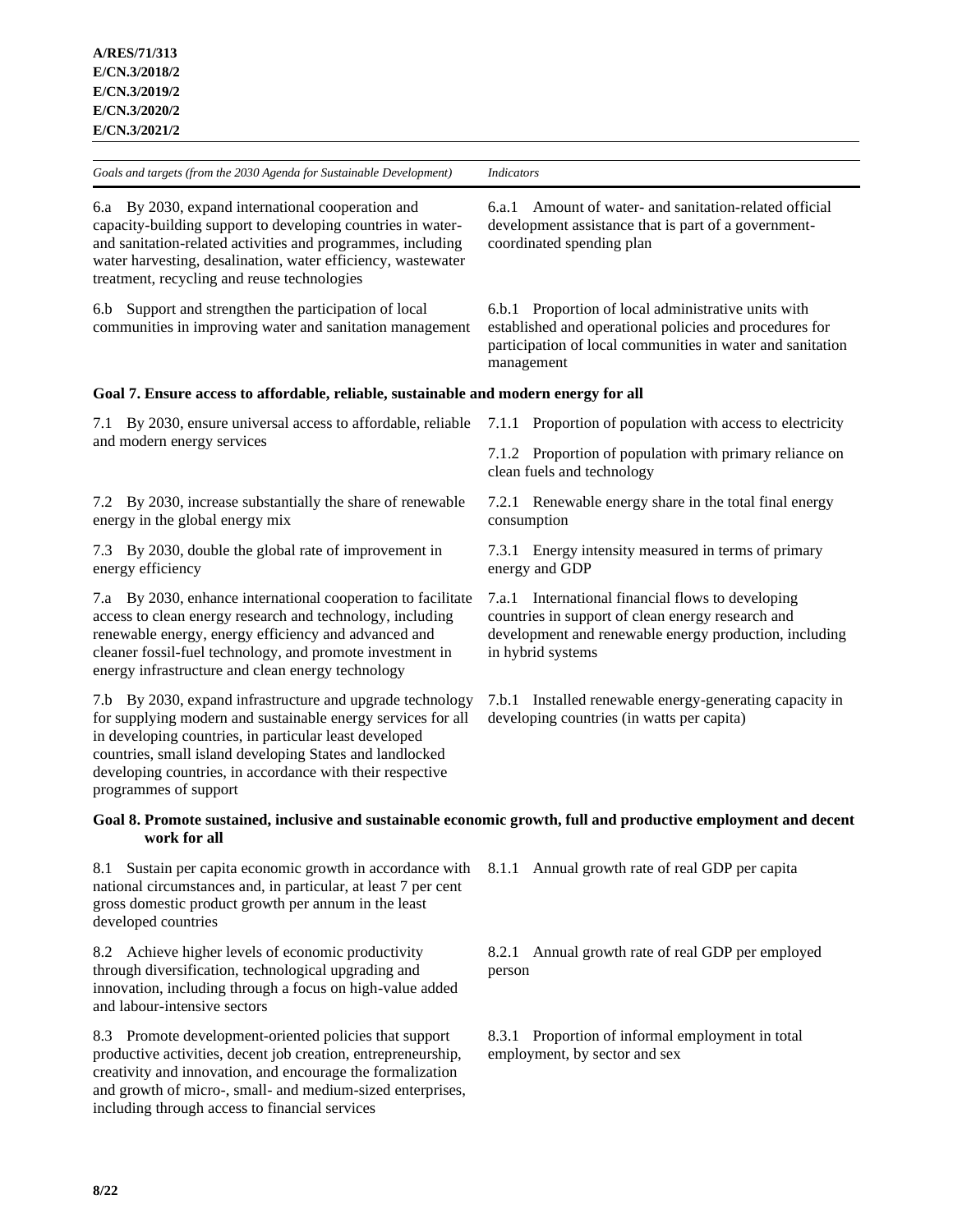*Goals and targets (from the 2030 Agenda for Sustainable Development) Indicators* 6.a By 2030, expand international cooperation and capacity-building support to developing countries in waterand sanitation-related activities and programmes, including water harvesting, desalination, water efficiency, wastewater treatment, recycling and reuse technologies 6.a.1 Amount of water- and sanitation-related official development assistance that is part of a governmentcoordinated spending plan 6.b Support and strengthen the participation of local communities in improving water and sanitation management 6.b.1 Proportion of local administrative units with established and operational policies and procedures for participation of local communities in water and sanitation management **Goal 7. Ensure access to affordable, reliable, sustainable and modern energy for all** 7.1 By 2030, ensure universal access to affordable, reliable and modern energy services 7.1.1 Proportion of population with access to electricity 7.1.2 Proportion of population with primary reliance on clean fuels and technology 7.2 By 2030, increase substantially the share of renewable energy in the global energy mix 7.2.1 Renewable energy share in the total final energy consumption 7.3 By 2030, double the global rate of improvement in energy efficiency 7.3.1 Energy intensity measured in terms of primary energy and GDP 7.a By 2030, enhance international cooperation to facilitate access to clean energy research and technology, including renewable energy, energy efficiency and advanced and cleaner fossil-fuel technology, and promote investment in energy infrastructure and clean energy technology 7.a.1 International financial flows to developing countries in support of clean energy research and development and renewable energy production, including in hybrid systems 7.b By 2030, expand infrastructure and upgrade technology for supplying modern and sustainable energy services for all in developing countries, in particular least developed countries, small island developing States and landlocked developing countries, in accordance with their respective programmes of support 7.b.1 Installed renewable energy-generating capacity in developing countries (in watts per capita)

### **Goal 8. Promote sustained, inclusive and sustainable economic growth, full and productive employment and decent work for all**

8.1 Sustain per capita economic growth in accordance with national circumstances and, in particular, at least 7 per cent gross domestic product growth per annum in the least developed countries

8.2 Achieve higher levels of economic productivity through diversification, technological upgrading and innovation, including through a focus on high-value added and labour-intensive sectors

8.3 Promote development-oriented policies that support productive activities, decent job creation, entrepreneurship, creativity and innovation, and encourage the formalization and growth of micro-, small- and medium-sized enterprises, including through access to financial services

8.1.1 Annual growth rate of real GDP per capita

8.2.1 Annual growth rate of real GDP per employed person

8.3.1 Proportion of informal employment in total employment, by sector and sex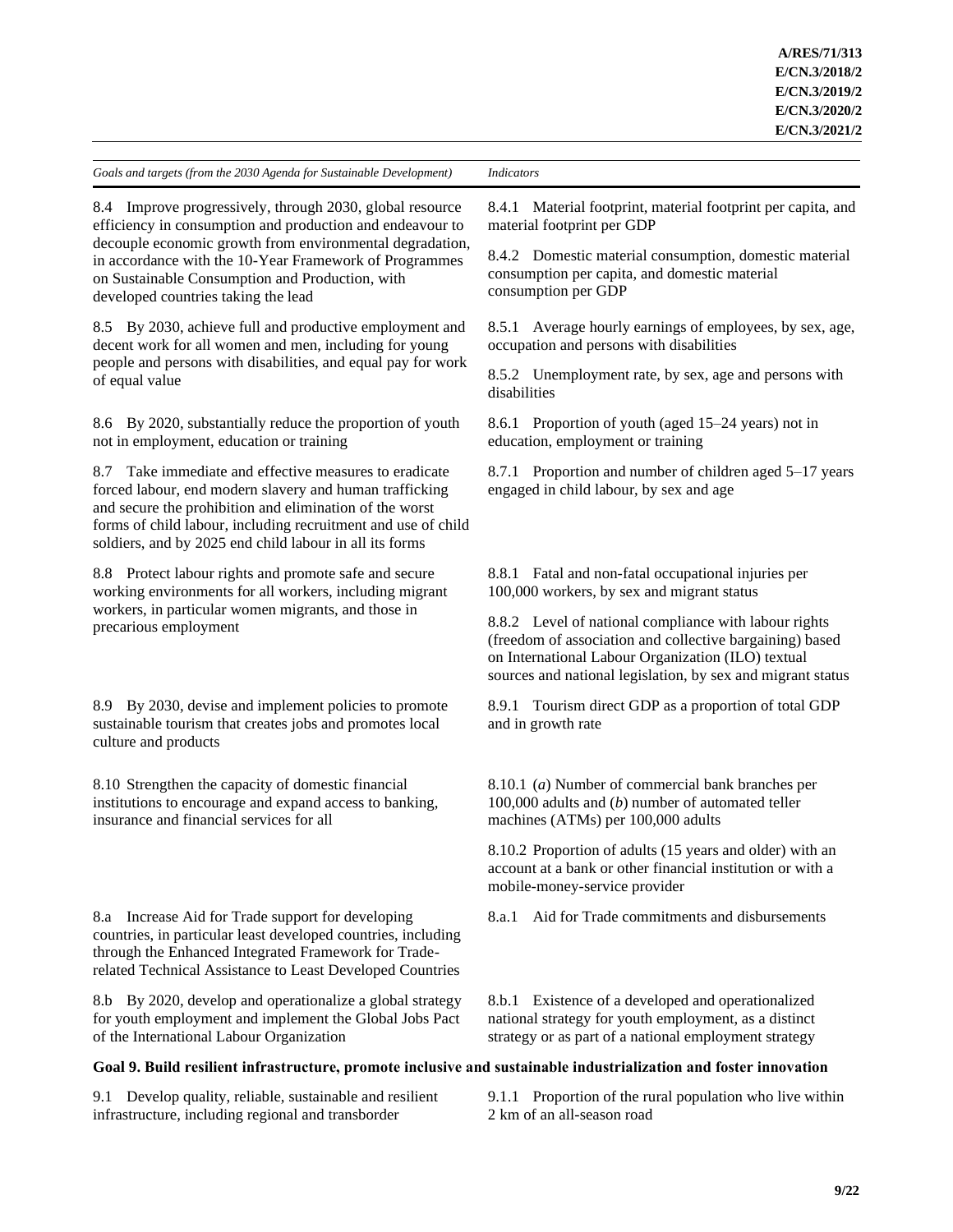8.4 Improve progressively, through 2030, global resource efficiency in consumption and production and endeavour to decouple economic growth from environmental degradation, in accordance with the 10-Year Framework of Programmes on Sustainable Consumption and Production, with developed countries taking the lead

8.5 By 2030, achieve full and productive employment and decent work for all women and men, including for young people and persons with disabilities, and equal pay for work of equal value

8.6 By 2020, substantially reduce the proportion of youth not in employment, education or training

8.7 Take immediate and effective measures to eradicate forced labour, end modern slavery and human trafficking and secure the prohibition and elimination of the worst forms of child labour, including recruitment and use of child soldiers, and by 2025 end child labour in all its forms

8.8 Protect labour rights and promote safe and secure working environments for all workers, including migrant workers, in particular women migrants, and those in precarious employment

8.9 By 2030, devise and implement policies to promote sustainable tourism that creates jobs and promotes local culture and products

8.10 Strengthen the capacity of domestic financial institutions to encourage and expand access to banking, insurance and financial services for all

8.a Increase Aid for Trade support for developing countries, in particular least developed countries, including through the Enhanced Integrated Framework for Traderelated Technical Assistance to Least Developed Countries

8.b By 2020, develop and operationalize a global strategy for youth employment and implement the Global Jobs Pact of the International Labour Organization

8.4.1 Material footprint, material footprint per capita, and material footprint per GDP

8.4.2 Domestic material consumption, domestic material consumption per capita, and domestic material consumption per GDP

8.5.1 Average hourly earnings of employees, by sex, age, occupation and persons with disabilities

8.5.2 Unemployment rate, by sex, age and persons with disabilities

8.6.1 Proportion of youth (aged 15–24 years) not in education, employment or training

8.7.1 Proportion and number of children aged 5–17 years engaged in child labour, by sex and age

8.8.1 Fatal and non-fatal occupational injuries per 100,000 workers, by sex and migrant status

8.8.2 Level of national compliance with labour rights (freedom of association and collective bargaining) based on International Labour Organization (ILO) textual sources and national legislation, by sex and migrant status

8.9.1 Tourism direct GDP as a proportion of total GDP and in growth rate

8.10.1 (*a*) Number of commercial bank branches per 100,000 adults and (*b*) number of automated teller machines (ATMs) per 100,000 adults

8.10.2 Proportion of adults (15 years and older) with an account at a bank or other financial institution or with a mobile-money-service provider

8.a.1 Aid for Trade commitments and disbursements

8.b.1 Existence of a developed and operationalized national strategy for youth employment, as a distinct strategy or as part of a national employment strategy

### **Goal 9. Build resilient infrastructure, promote inclusive and sustainable industrialization and foster innovation**

9.1 Develop quality, reliable, sustainable and resilient infrastructure, including regional and transborder

9.1.1 Proportion of the rural population who live within 2 km of an all-season road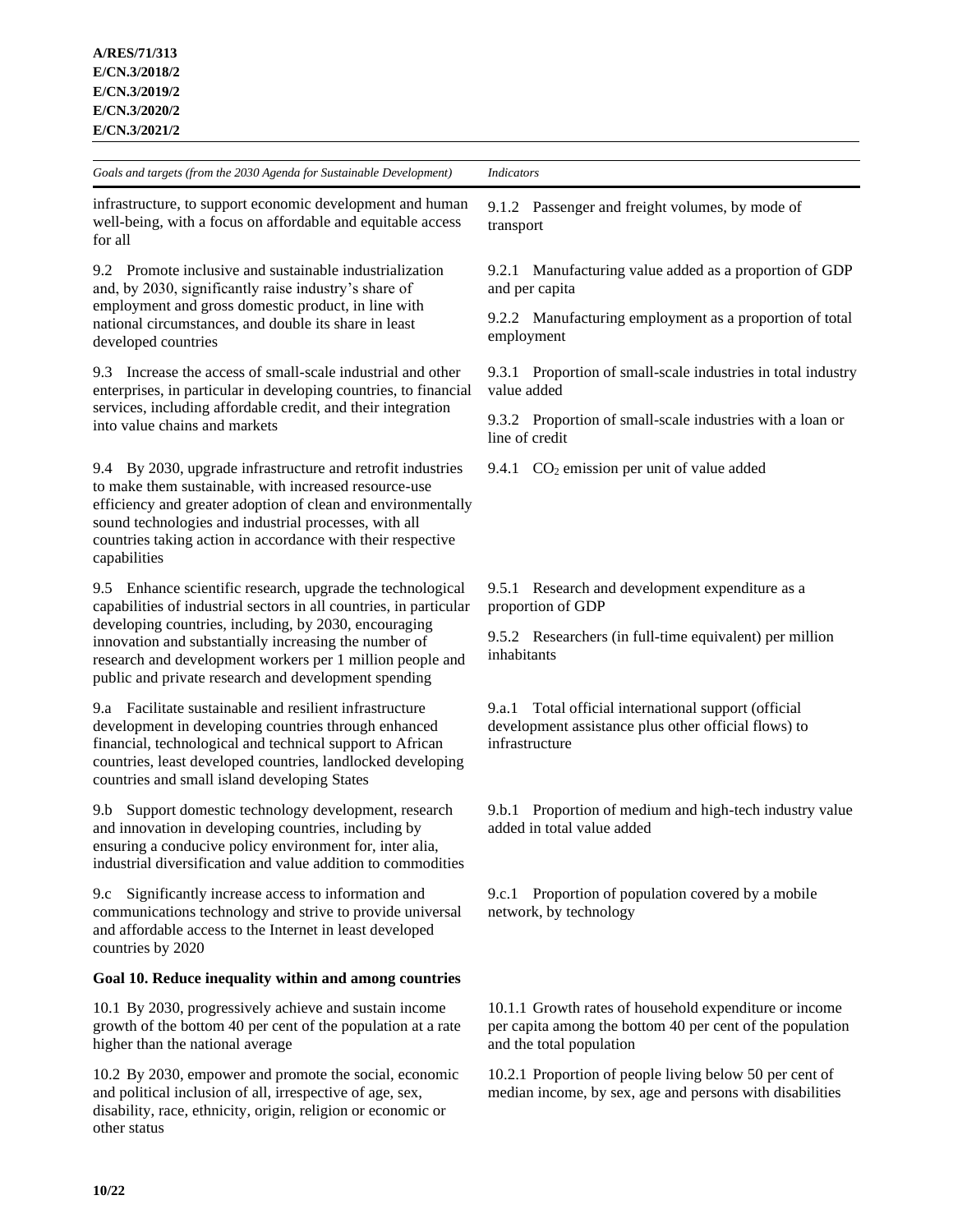for all

*Goals and targets (from the 2030 Agenda for Sustainable Development) Indicators*

infrastructure, to support economic development and human well-being, with a focus on affordable and equitable access

9.2 Promote inclusive and sustainable industrialization and, by 2030, significantly raise industry's share of employment and gross domestic product, in line with national circumstances, and double its share in least developed countries

9.3 Increase the access of small-scale industrial and other enterprises, in particular in developing countries, to financial services, including affordable credit, and their integration into value chains and markets

9.4 By 2030, upgrade infrastructure and retrofit industries to make them sustainable, with increased resource-use efficiency and greater adoption of clean and environmentally sound technologies and industrial processes, with all countries taking action in accordance with their respective capabilities

9.5 Enhance scientific research, upgrade the technological capabilities of industrial sectors in all countries, in particular developing countries, including, by 2030, encouraging innovation and substantially increasing the number of research and development workers per 1 million people and public and private research and development spending

9.a Facilitate sustainable and resilient infrastructure development in developing countries through enhanced financial, technological and technical support to African countries, least developed countries, landlocked developing countries and small island developing States

9.b Support domestic technology development, research and innovation in developing countries, including by ensuring a conducive policy environment for, inter alia, industrial diversification and value addition to commodities

9.c Significantly increase access to information and communications technology and strive to provide universal and affordable access to the Internet in least developed countries by 2020

#### **Goal 10. Reduce inequality within and among countries**

10.1 By 2030, progressively achieve and sustain income growth of the bottom 40 per cent of the population at a rate higher than the national average

10.2 By 2030, empower and promote the social, economic and political inclusion of all, irrespective of age, sex, disability, race, ethnicity, origin, religion or economic or other status

9.1.2 Passenger and freight volumes, by mode of transport

9.2.1 Manufacturing value added as a proportion of GDP and per capita

9.2.2 Manufacturing employment as a proportion of total employment

9.3.1 Proportion of small-scale industries in total industry value added

9.3.2 Proportion of small-scale industries with a loan or line of credit

9.4.1  $CO<sub>2</sub>$  emission per unit of value added

9.5.1 Research and development expenditure as a proportion of GDP

9.5.2 Researchers (in full-time equivalent) per million inhabitants

9.a.1 Total official international support (official development assistance plus other official flows) to infrastructure

9.b.1 Proportion of medium and high-tech industry value added in total value added

9.c.1 Proportion of population covered by a mobile network, by technology

10.1.1 Growth rates of household expenditure or income per capita among the bottom 40 per cent of the population and the total population

10.2.1 Proportion of people living below 50 per cent of median income, by sex, age and persons with disabilities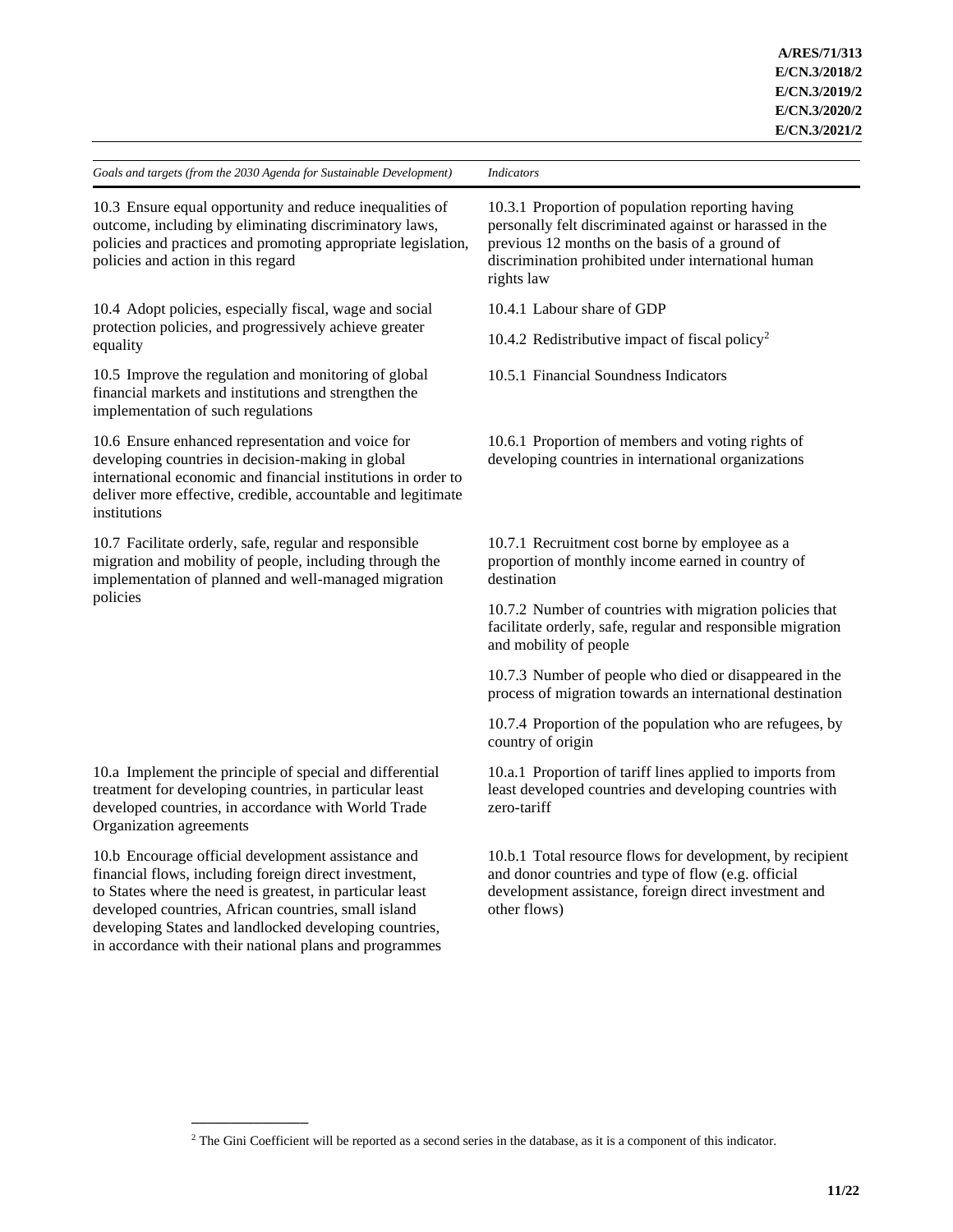10.3 Ensure equal opportunity and reduce inequalities of outcome, including by eliminating discriminatory laws, policies and practices and promoting appropriate legislation, policies and action in this regard

10.4 Adopt policies, especially fiscal, wage and social protection policies, and progressively achieve greater equality

10.5 Improve the regulation and monitoring of global financial markets and institutions and strengthen the implementation of such regulations

10.6 Ensure enhanced representation and voice for developing countries in decision-making in global international economic and financial institutions in order to deliver more effective, credible, accountable and legitimate institutions

10.7 Facilitate orderly, safe, regular and responsible migration and mobility of people, including through the implementation of planned and well-managed migration policies

10.a Implement the principle of special and differential treatment for developing countries, in particular least developed countries, in accordance with World Trade Organization agreements

10.b Encourage official development assistance and financial flows, including foreign direct investment, to States where the need is greatest, in particular least developed countries, African countries, small island developing States and landlocked developing countries, in accordance with their national plans and programmes

**\_\_\_\_\_\_\_\_\_\_\_\_\_\_\_**

10.3.1 Proportion of population reporting having personally felt discriminated against or harassed in the previous 12 months on the basis of a ground of discrimination prohibited under international human rights law

10.4.1 Labour share of GDP

10.4.2 Redistributive impact of fiscal policy<sup>2</sup>

10.5.1 Financial Soundness Indicators

10.6.1 Proportion of members and voting rights of developing countries in international organizations

10.7.1 Recruitment cost borne by employee as a proportion of monthly income earned in country of destination

10.7.2 Number of countries with migration policies that facilitate orderly, safe, regular and responsible migration and mobility of people

10.7.3 Number of people who died or disappeared in the process of migration towards an international destination

10.7.4 Proportion of the population who are refugees, by country of origin

10.a.1 Proportion of tariff lines applied to imports from least developed countries and developing countries with zero-tariff

10.b.1 Total resource flows for development, by recipient and donor countries and type of flow (e.g. official development assistance, foreign direct investment and other flows)

<sup>&</sup>lt;sup>2</sup> The Gini Coefficient will be reported as a second series in the database, as it is a component of this indicator.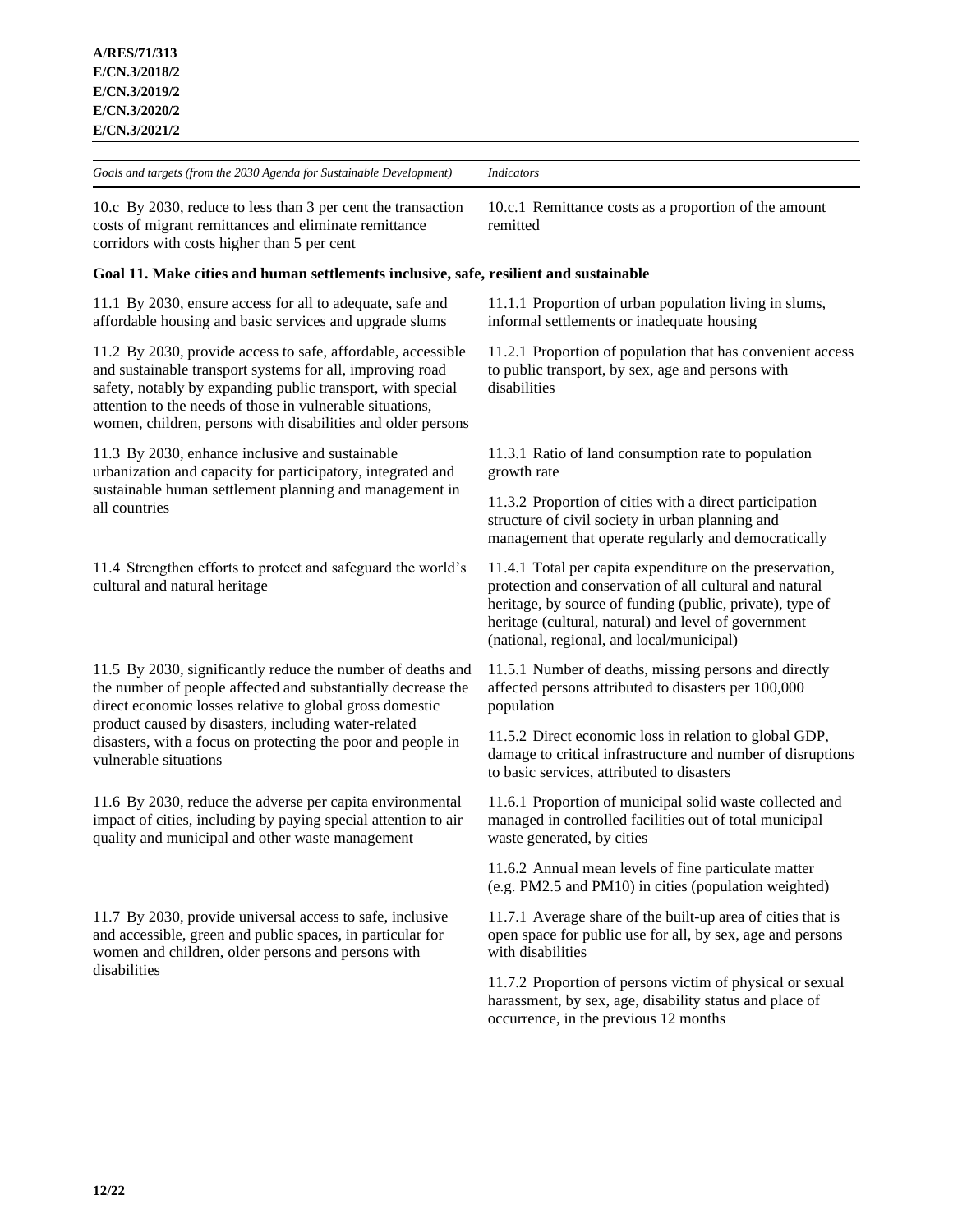10.c By 2030, reduce to less than 3 per cent the transaction costs of migrant remittances and eliminate remittance corridors with costs higher than 5 per cent

#### **Goal 11. Make cities and human settlements inclusive, safe, resilient and sustainable**

11.1 By 2030, ensure access for all to adequate, safe and affordable housing and basic services and upgrade slums

11.2 By 2030, provide access to safe, affordable, accessible and sustainable transport systems for all, improving road safety, notably by expanding public transport, with special attention to the needs of those in vulnerable situations, women, children, persons with disabilities and older persons

11.3 By 2030, enhance inclusive and sustainable urbanization and capacity for participatory, integrated and sustainable human settlement planning and management in all countries

11.4 Strengthen efforts to protect and safeguard the world's cultural and natural heritage

11.5 By 2030, significantly reduce the number of deaths and the number of people affected and substantially decrease the direct economic losses relative to global gross domestic product caused by disasters, including water-related disasters, with a focus on protecting the poor and people in vulnerable situations

11.6 By 2030, reduce the adverse per capita environmental impact of cities, including by paying special attention to air quality and municipal and other waste management

11.7 By 2030, provide universal access to safe, inclusive and accessible, green and public spaces, in particular for women and children, older persons and persons with disabilities

10.c.1 Remittance costs as a proportion of the amount remitted

11.1.1 Proportion of urban population living in slums, informal settlements or inadequate housing

11.2.1 Proportion of population that has convenient access to public transport, by sex, age and persons with disabilities

11.3.1 Ratio of land consumption rate to population growth rate

11.3.2 Proportion of cities with a direct participation structure of civil society in urban planning and management that operate regularly and democratically

11.4.1 Total per capita expenditure on the preservation, protection and conservation of all cultural and natural heritage, by source of funding (public, private), type of heritage (cultural, natural) and level of government (national, regional, and local/municipal)

11.5.1 Number of deaths, missing persons and directly affected persons attributed to disasters per 100,000 population

11.5.2 Direct economic loss in relation to global GDP, damage to critical infrastructure and number of disruptions to basic services, attributed to disasters

11.6.1 Proportion of municipal solid waste collected and managed in controlled facilities out of total municipal waste generated, by cities

11.6.2 Annual mean levels of fine particulate matter (e.g. PM2.5 and PM10) in cities (population weighted)

11.7.1 Average share of the built-up area of cities that is open space for public use for all, by sex, age and persons with disabilities

11.7.2 Proportion of persons victim of physical or sexual harassment, by sex, age, disability status and place of occurrence, in the previous 12 months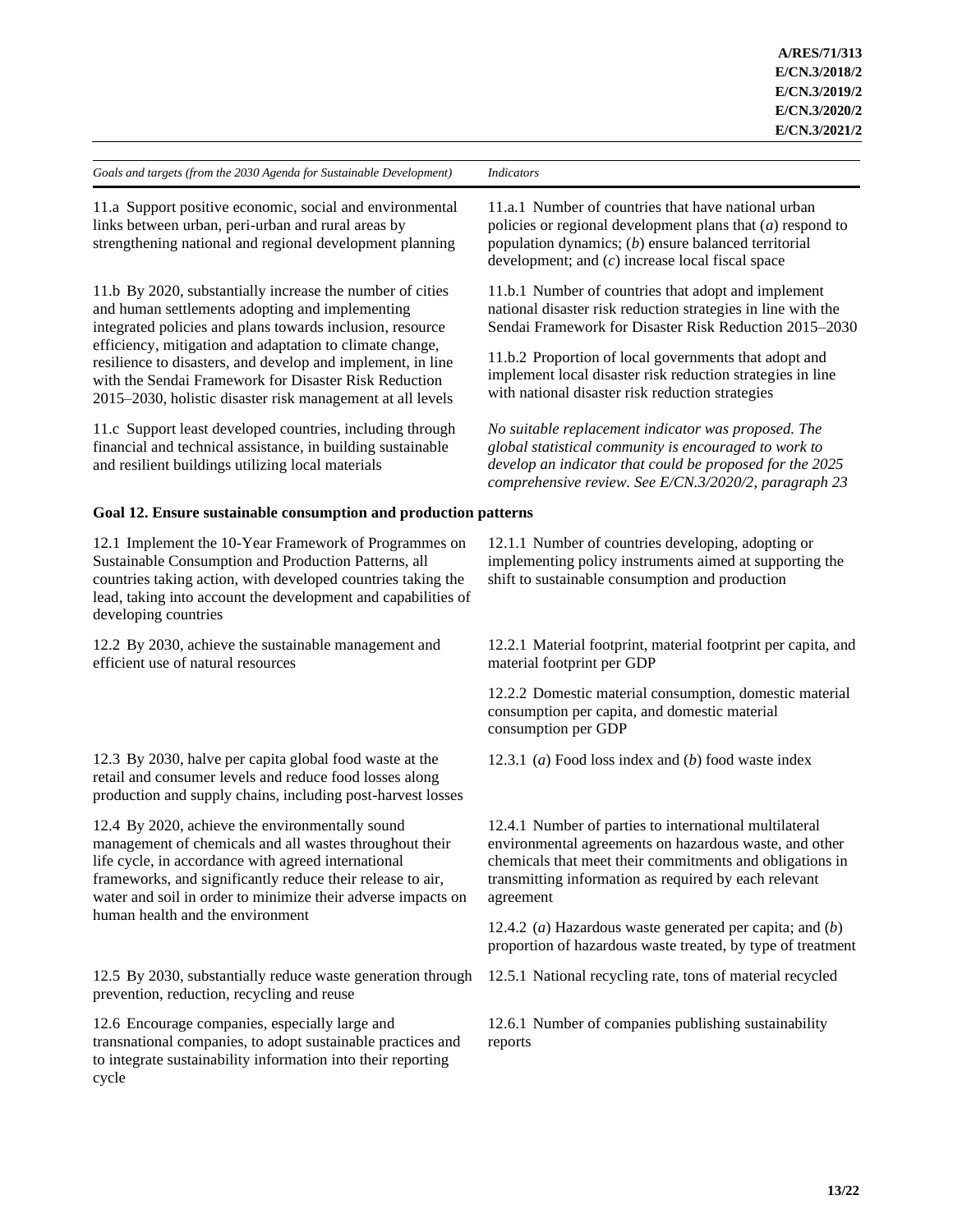11.a Support positive economic, social and environmental links between urban, peri-urban and rural areas by strengthening national and regional development planning

11.b By 2020, substantially increase the number of cities and human settlements adopting and implementing integrated policies and plans towards inclusion, resource efficiency, mitigation and adaptation to climate change, resilience to disasters, and develop and implement, in line with the Sendai Framework for Disaster Risk Reduction 2015–2030, holistic disaster risk management at all levels

11.c Support least developed countries, including through financial and technical assistance, in building sustainable and resilient buildings utilizing local materials

#### **Goal 12. Ensure sustainable consumption and production patterns**

12.1 Implement the 10-Year Framework of Programmes on Sustainable Consumption and Production Patterns, all countries taking action, with developed countries taking the lead, taking into account the development and capabilities of developing countries

12.2 By 2030, achieve the sustainable management and efficient use of natural resources

12.3 By 2030, halve per capita global food waste at the retail and consumer levels and reduce food losses along production and supply chains, including post-harvest losses

12.4 By 2020, achieve the environmentally sound management of chemicals and all wastes throughout their life cycle, in accordance with agreed international frameworks, and significantly reduce their release to air, water and soil in order to minimize their adverse impacts on human health and the environment

12.5 By 2030, substantially reduce waste generation through prevention, reduction, recycling and reuse

12.6 Encourage companies, especially large and transnational companies, to adopt sustainable practices and to integrate sustainability information into their reporting cycle

11.a.1 Number of countries that have national urban policies or regional development plans that (*a*) respond to population dynamics; (*b*) ensure balanced territorial development; and (*c*) increase local fiscal space

11.b.1 Number of countries that adopt and implement national disaster risk reduction strategies in line with the Sendai Framework for Disaster Risk Reduction 2015–2030

11.b.2 Proportion of local governments that adopt and implement local disaster risk reduction strategies in line with national disaster risk reduction strategies

*No suitable replacement indicator was proposed. The global statistical community is encouraged to work to develop an indicator that could be proposed for the 2025 comprehensive review. See E/CN.3/2020/2, paragraph 23*

12.1.1 Number of countries developing, adopting or implementing policy instruments aimed at supporting the shift to sustainable consumption and production

12.2.1 Material footprint, material footprint per capita, and material footprint per GDP

12.2.2 Domestic material consumption, domestic material consumption per capita, and domestic material consumption per GDP

12.3.1 (*a*) Food loss index and (*b*) food waste index

12.4.1 Number of parties to international multilateral environmental agreements on hazardous waste, and other chemicals that meet their commitments and obligations in transmitting information as required by each relevant agreement

12.4.2 (*a*) Hazardous waste generated per capita; and (*b*) proportion of hazardous waste treated, by type of treatment

12.5.1 National recycling rate, tons of material recycled

12.6.1 Number of companies publishing sustainability reports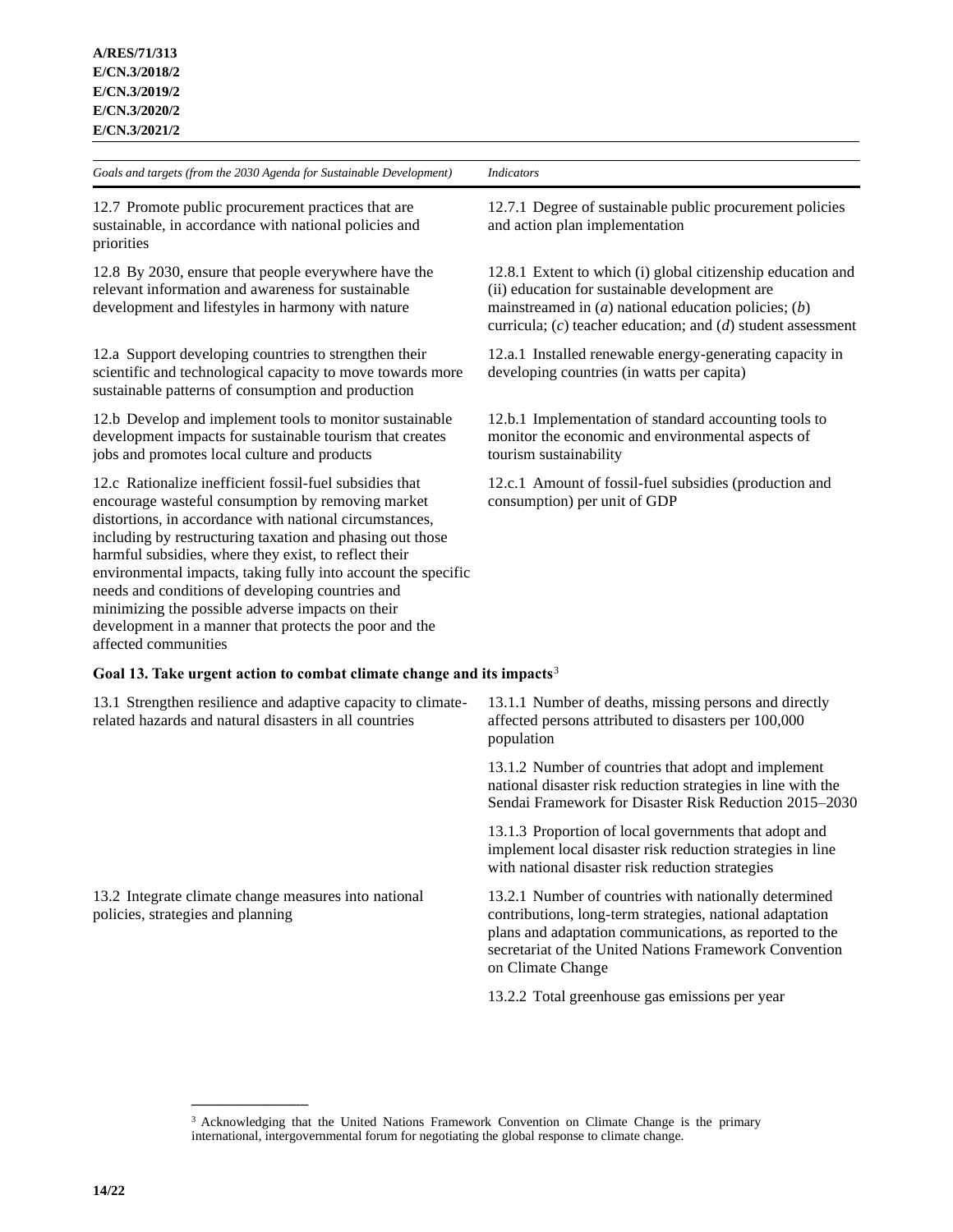12.7 Promote public procurement practices that are sustainable, in accordance with national policies and priorities

12.8 By 2030, ensure that people everywhere have the relevant information and awareness for sustainable development and lifestyles in harmony with nature

12.a Support developing countries to strengthen their scientific and technological capacity to move towards more sustainable patterns of consumption and production

12.b Develop and implement tools to monitor sustainable development impacts for sustainable tourism that creates jobs and promotes local culture and products

12.c Rationalize inefficient fossil-fuel subsidies that encourage wasteful consumption by removing market distortions, in accordance with national circumstances, including by restructuring taxation and phasing out those harmful subsidies, where they exist, to reflect their environmental impacts, taking fully into account the specific needs and conditions of developing countries and minimizing the possible adverse impacts on their development in a manner that protects the poor and the affected communities

**Goal 13. Take urgent action to combat climate change and its impacts**<sup>3</sup>

13.1 Strengthen resilience and adaptive capacity to climaterelated hazards and natural disasters in all countries

13.2 Integrate climate change measures into national policies, strategies and planning

**\_\_\_\_\_\_\_\_\_\_\_\_\_\_\_**

12.7.1 Degree of sustainable public procurement policies and action plan implementation

12.8.1 Extent to which (i) global citizenship education and (ii) education for sustainable development are mainstreamed in (*a*) national education policies; (*b*) curricula; (*c*) teacher education; and (*d*) student assessment

12.a.1 Installed renewable energy-generating capacity in developing countries (in watts per capita)

12.b.1 Implementation of standard accounting tools to monitor the economic and environmental aspects of tourism sustainability

12.c.1 Amount of fossil-fuel subsidies (production and consumption) per unit of GDP

13.1.1 Number of deaths, missing persons and directly affected persons attributed to disasters per 100,000 population

13.1.2 Number of countries that adopt and implement national disaster risk reduction strategies in line with the Sendai Framework for Disaster Risk Reduction 2015–2030

13.1.3 Proportion of local governments that adopt and implement local disaster risk reduction strategies in line with national disaster risk reduction strategies

13.2.1 Number of countries with nationally determined contributions, long-term strategies, national adaptation plans and adaptation communications, as reported to the secretariat of the United Nations Framework Convention on Climate Change

13.2.2 Total greenhouse gas emissions per year

<sup>&</sup>lt;sup>3</sup> Acknowledging that the United Nations Framework Convention on Climate Change is the primary international, intergovernmental forum for negotiating the global response to climate change.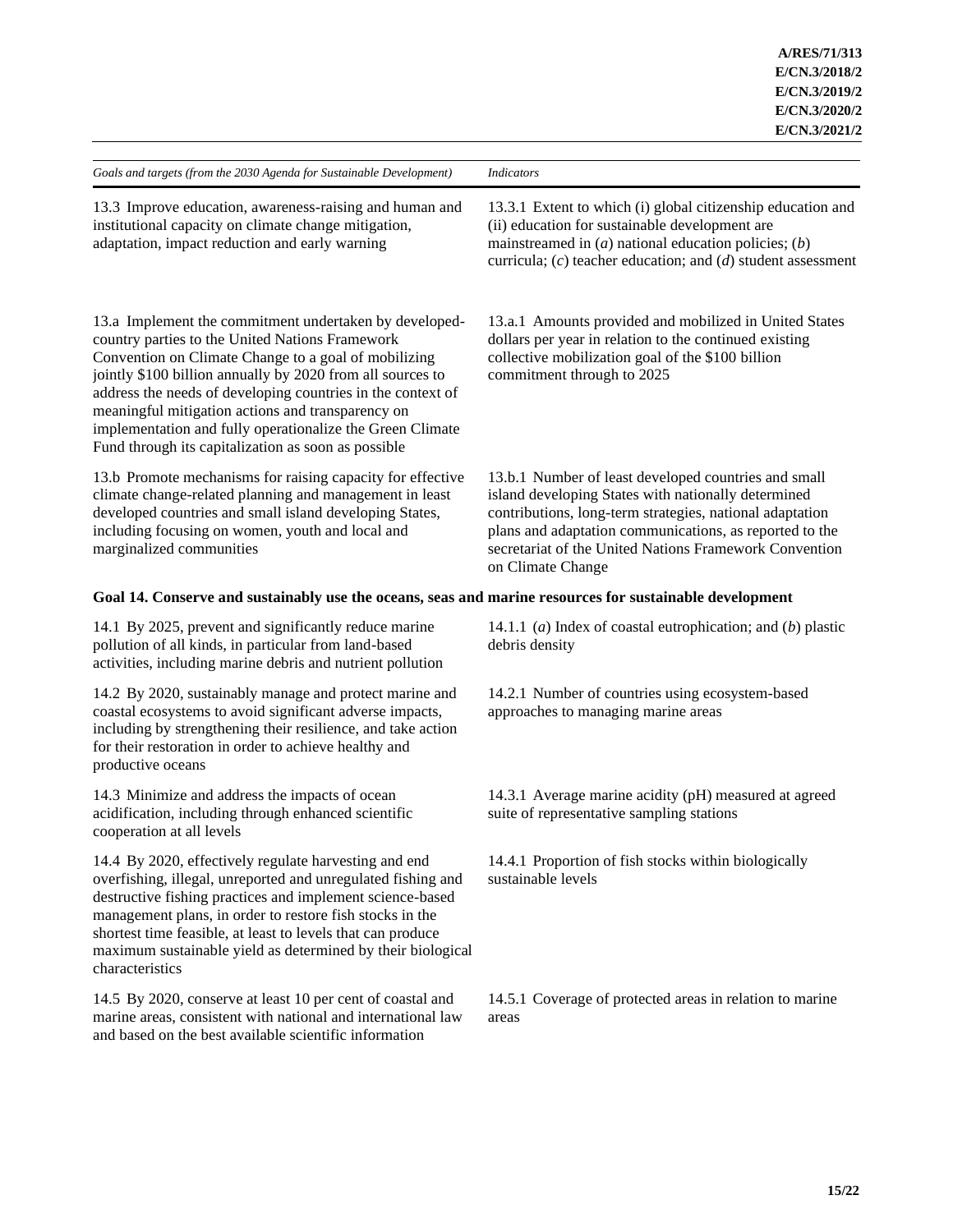| Goals and targets (from the 2030 Agenda for Sustainable Development)                                                                                                                                                                                                                                                                                                                                                                                                    | <b>Indicators</b>                                                                                                                                                                                                                                                                                                 |  |  |
|-------------------------------------------------------------------------------------------------------------------------------------------------------------------------------------------------------------------------------------------------------------------------------------------------------------------------------------------------------------------------------------------------------------------------------------------------------------------------|-------------------------------------------------------------------------------------------------------------------------------------------------------------------------------------------------------------------------------------------------------------------------------------------------------------------|--|--|
| 13.3 Improve education, awareness-raising and human and<br>institutional capacity on climate change mitigation,<br>adaptation, impact reduction and early warning                                                                                                                                                                                                                                                                                                       | 13.3.1 Extent to which (i) global citizenship education and<br>(ii) education for sustainable development are<br>mainstreamed in $(a)$ national education policies; $(b)$<br>curricula; $(c)$ teacher education; and $(d)$ student assessment                                                                     |  |  |
| 13.a Implement the commitment undertaken by developed-<br>country parties to the United Nations Framework<br>Convention on Climate Change to a goal of mobilizing<br>jointly \$100 billion annually by 2020 from all sources to<br>address the needs of developing countries in the context of<br>meaningful mitigation actions and transparency on<br>implementation and fully operationalize the Green Climate<br>Fund through its capitalization as soon as possible | 13.a.1 Amounts provided and mobilized in United States<br>dollars per year in relation to the continued existing<br>collective mobilization goal of the \$100 billion<br>commitment through to 2025                                                                                                               |  |  |
| 13.b Promote mechanisms for raising capacity for effective<br>climate change-related planning and management in least<br>developed countries and small island developing States,<br>including focusing on women, youth and local and<br>marginalized communities                                                                                                                                                                                                        | 13.b.1 Number of least developed countries and small<br>island developing States with nationally determined<br>contributions, long-term strategies, national adaptation<br>plans and adaptation communications, as reported to the<br>secretariat of the United Nations Framework Convention<br>on Climate Change |  |  |
| Goal 14. Conserve and sustainably use the oceans, seas and marine resources for sustainable development                                                                                                                                                                                                                                                                                                                                                                 |                                                                                                                                                                                                                                                                                                                   |  |  |
| 14.1 By 2025, prevent and significantly reduce marine<br>pollution of all kinds, in particular from land-based<br>activities, including marine debris and nutrient pollution                                                                                                                                                                                                                                                                                            | 14.1.1 (a) Index of coastal eutrophication; and $(b)$ plastic<br>debris density                                                                                                                                                                                                                                   |  |  |
| 14.2 By 2020, sustainably manage and protect marine and<br>coastal ecosystems to avoid significant adverse impacts,<br>including by strengthening their resilience, and take action<br>for their restoration in order to achieve healthy and<br>productive oceans                                                                                                                                                                                                       | 14.2.1 Number of countries using ecosystem-based<br>approaches to managing marine areas                                                                                                                                                                                                                           |  |  |
| 14.3 Minimize and address the impacts of ocean<br>acidification, including through enhanced scientific<br>cooperation at all levels                                                                                                                                                                                                                                                                                                                                     | 14.3.1 Average marine acidity (pH) measured at agreed<br>suite of representative sampling stations                                                                                                                                                                                                                |  |  |
| 14.4 By 2020, effectively regulate harvesting and end<br>overfishing, illegal, unreported and unregulated fishing and<br>destructive fishing practices and implement science-based<br>management plans, in order to restore fish stocks in the<br>shortest time feasible, at least to levels that can produce<br>maximum sustainable yield as determined by their biological<br>characteristics                                                                         | 14.4.1 Proportion of fish stocks within biologically<br>sustainable levels                                                                                                                                                                                                                                        |  |  |
| 14.5 By 2020, conserve at least 10 per cent of coastal and<br>marine areas, consistent with national and international law<br>and based on the best available scientific information                                                                                                                                                                                                                                                                                    | 14.5.1 Coverage of protected areas in relation to marine<br>areas                                                                                                                                                                                                                                                 |  |  |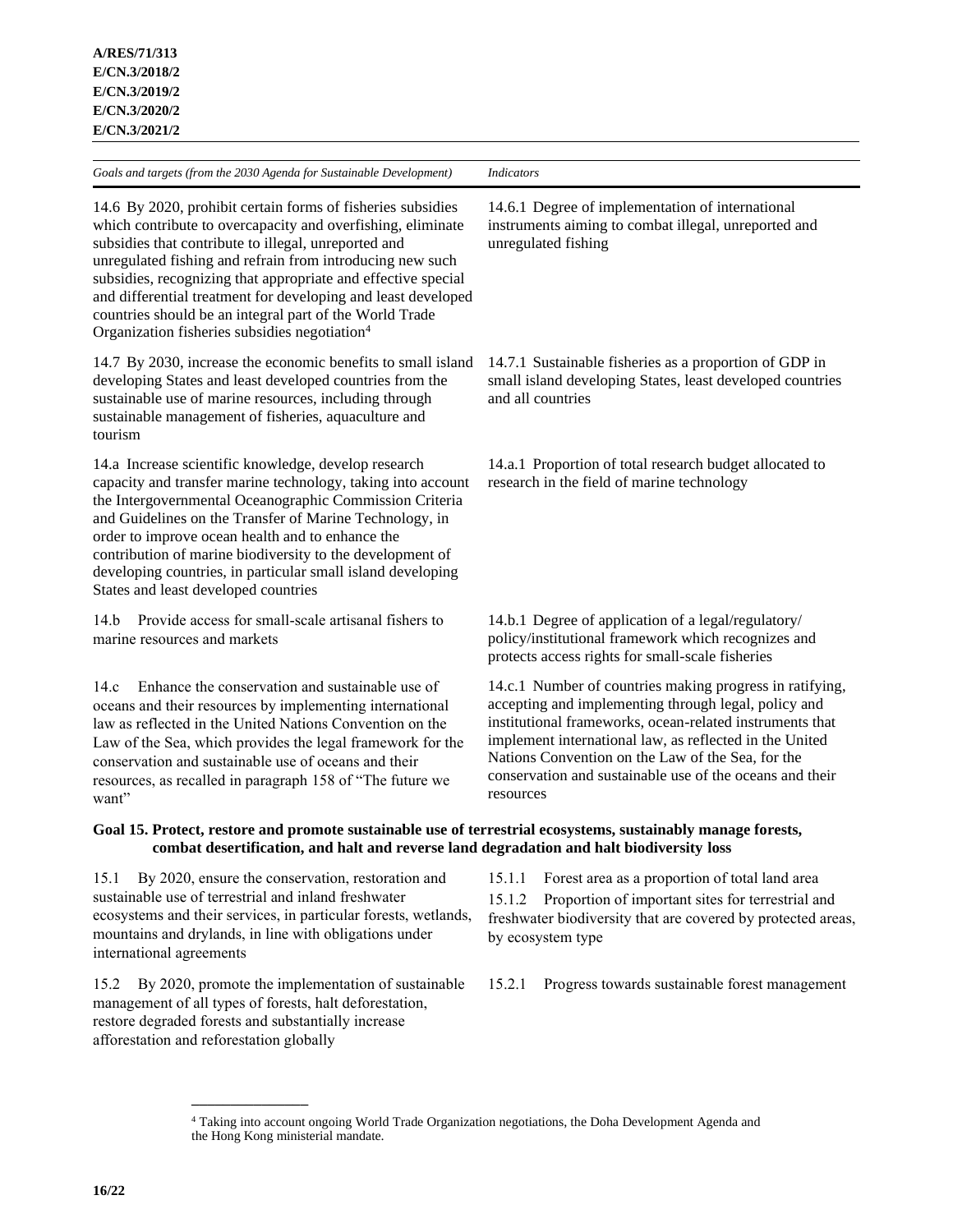14.6 By 2020, prohibit certain forms of fisheries subsidies which contribute to overcapacity and overfishing, eliminate subsidies that contribute to illegal, unreported and unregulated fishing and refrain from introducing new such subsidies, recognizing that appropriate and effective special and differential treatment for developing and least developed countries should be an integral part of the World Trade Organization fisheries subsidies negotiation<sup>4</sup>

14.7 By 2030, increase the economic benefits to small island developing States and least developed countries from the sustainable use of marine resources, including through sustainable management of fisheries, aquaculture and tourism

14.a Increase scientific knowledge, develop research capacity and transfer marine technology, taking into account the Intergovernmental Oceanographic Commission Criteria and Guidelines on the Transfer of Marine Technology, in order to improve ocean health and to enhance the contribution of marine biodiversity to the development of developing countries, in particular small island developing States and least developed countries

14.b Provide access for small-scale artisanal fishers to marine resources and markets

14.c Enhance the conservation and sustainable use of oceans and their resources by implementing international law as reflected in the United Nations Convention on the Law of the Sea, which provides the legal framework for the conservation and sustainable use of oceans and their resources, as recalled in paragraph 158 of "The future we want"

14.6.1 Degree of implementation of international instruments aiming to combat illegal, unreported and unregulated fishing

14.7.1 Sustainable fisheries as a proportion of GDP in small island developing States, least developed countries and all countries

14.a.1 Proportion of total research budget allocated to research in the field of marine technology

14.b.1 Degree of application of a legal/regulatory/ policy/institutional framework which recognizes and protects access rights for small-scale fisheries

14.c.1 Number of countries making progress in ratifying, accepting and implementing through legal, policy and institutional frameworks, ocean-related instruments that implement international law, as reflected in the United Nations Convention on the Law of the Sea, for the conservation and sustainable use of the oceans and their resources

# **Goal 15. Protect, restore and promote sustainable use of terrestrial ecosystems, sustainably manage forests, combat desertification, and halt and reverse land degradation and halt biodiversity loss**

15.1 By 2020, ensure the conservation, restoration and sustainable use of terrestrial and inland freshwater ecosystems and their services, in particular forests, wetlands, mountains and drylands, in line with obligations under international agreements

15.2 By 2020, promote the implementation of sustainable management of all types of forests, halt deforestation, restore degraded forests and substantially increase afforestation and reforestation globally

**\_\_\_\_\_\_\_\_\_\_\_\_\_\_\_**

15.1.1 Forest area as a proportion of total land area 15.1.2 Proportion of important sites for terrestrial and freshwater biodiversity that are covered by protected areas, by ecosystem type

15.2.1 Progress towards sustainable forest management

<sup>4</sup> Taking into account ongoing World Trade Organization negotiations, the Doha Development Agenda and the Hong Kong ministerial mandate.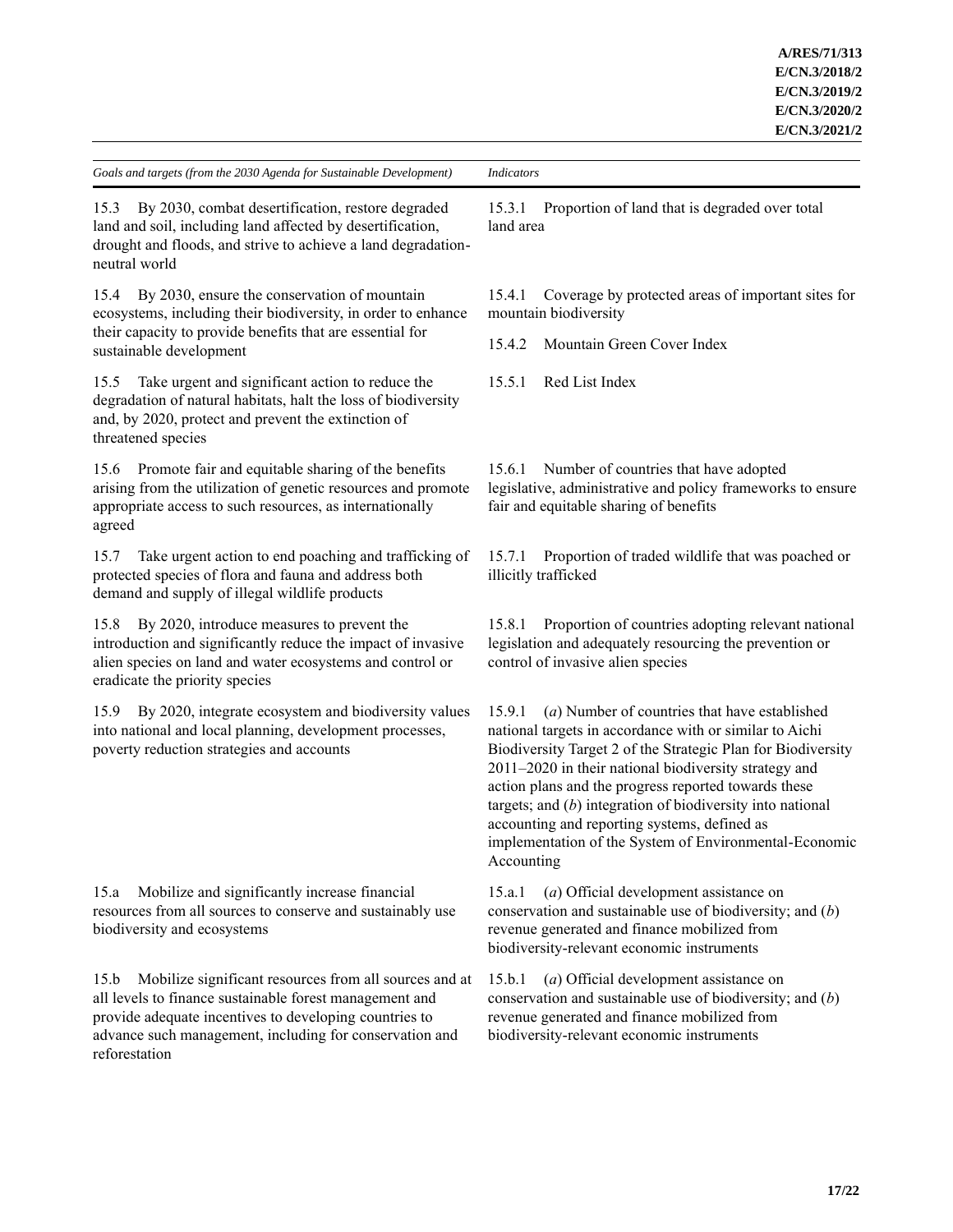15.3 By 2030, combat desertification, restore degraded land and soil, including land affected by desertification, drought and floods, and strive to achieve a land degradationneutral world

15.4 By 2030, ensure the conservation of mountain ecosystems, including their biodiversity, in order to enhance their capacity to provide benefits that are essential for sustainable development

15.5 Take urgent and significant action to reduce the degradation of natural habitats, halt the loss of biodiversity and, by 2020, protect and prevent the extinction of threatened species

15.6 Promote fair and equitable sharing of the benefits arising from the utilization of genetic resources and promote appropriate access to such resources, as internationally agreed

15.7 Take urgent action to end poaching and trafficking of protected species of flora and fauna and address both demand and supply of illegal wildlife products

15.8 By 2020, introduce measures to prevent the introduction and significantly reduce the impact of invasive alien species on land and water ecosystems and control or eradicate the priority species

15.9 By 2020, integrate ecosystem and biodiversity values into national and local planning, development processes, poverty reduction strategies and accounts

15.a Mobilize and significantly increase financial resources from all sources to conserve and sustainably use biodiversity and ecosystems

15.b Mobilize significant resources from all sources and at all levels to finance sustainable forest management and provide adequate incentives to developing countries to advance such management, including for conservation and reforestation

15.3.1 Proportion of land that is degraded over total land area

15.4.1 Coverage by protected areas of important sites for mountain biodiversity

15.4.2 Mountain Green Cover Index

15.5.1 Red List Index

15.6.1 Number of countries that have adopted legislative, administrative and policy frameworks to ensure fair and equitable sharing of benefits

15.7.1 Proportion of traded wildlife that was poached or illicitly trafficked

15.8.1 Proportion of countries adopting relevant national legislation and adequately resourcing the prevention or control of invasive alien species

15.9.1 (*a*) Number of countries that have established national targets in accordance with or similar to Aichi Biodiversity Target 2 of the Strategic Plan for Biodiversity 2011–2020 in their national biodiversity strategy and action plans and the progress reported towards these targets; and (*b*) integration of biodiversity into national accounting and reporting systems, defined as implementation of the System of Environmental-Economic Accounting

15.a.1 (*a*) Official development assistance on conservation and sustainable use of biodiversity; and (*b*) revenue generated and finance mobilized from biodiversity-relevant economic instruments

15.b.1 (*a*) Official development assistance on conservation and sustainable use of biodiversity; and (*b*) revenue generated and finance mobilized from biodiversity-relevant economic instruments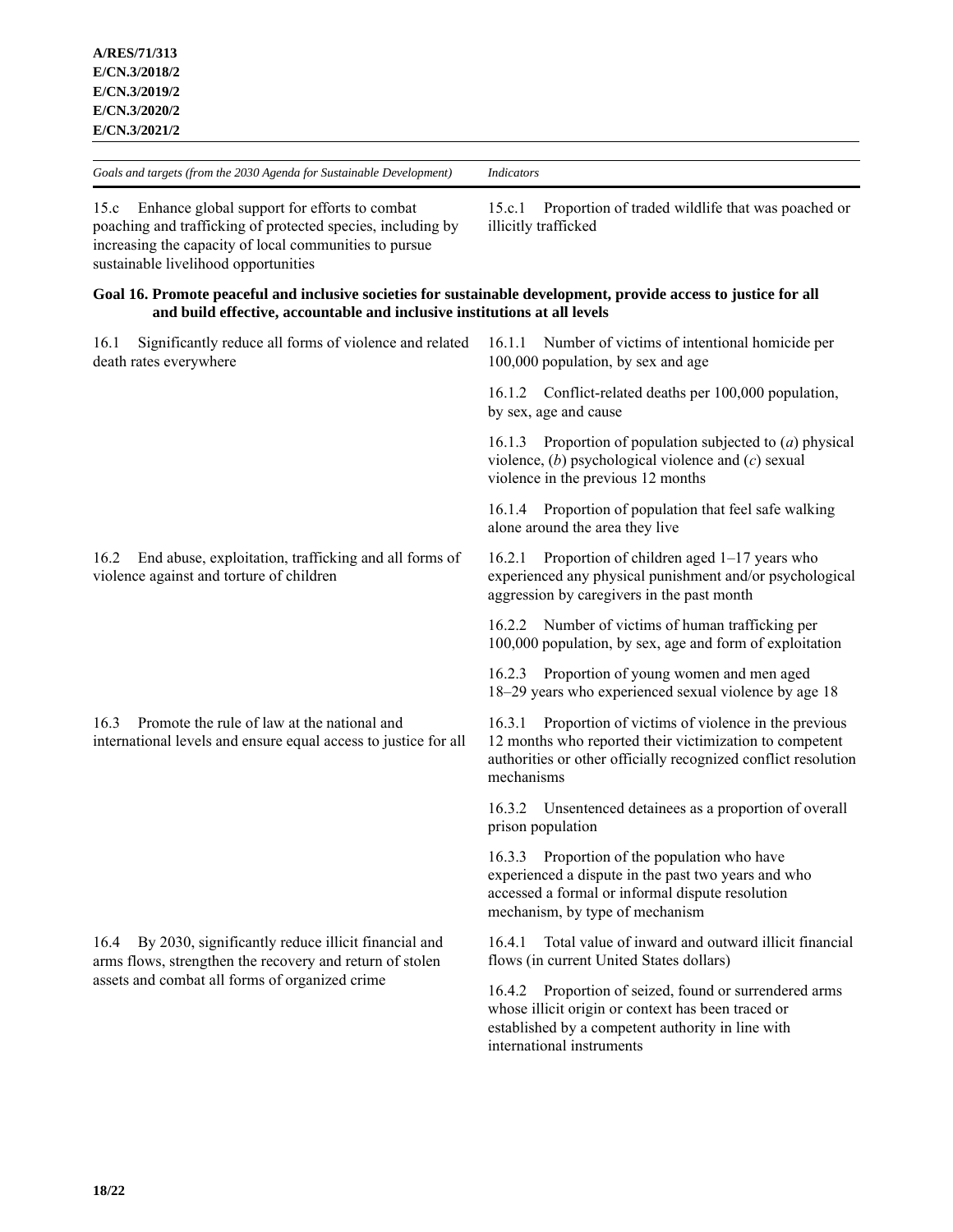15.c Enhance global support for efforts to combat poaching and trafficking of protected species, including by increasing the capacity of local communities to pursue sustainable livelihood opportunities

#### **Goal 16. Promote peaceful and inclusive societies for sustainable development, provide access to justice for all and build effective, accountable and inclusive institutions at all levels**

illicitly trafficked

16.1 Significantly reduce all forms of violence and related death rates everywhere

16.2 End abuse, exploitation, trafficking and all forms of violence against and torture of children

16.3 Promote the rule of law at the national and international levels and ensure equal access to justice for all

16.4 By 2030, significantly reduce illicit financial and arms flows, strengthen the recovery and return of stolen assets and combat all forms of organized crime

16.1.1 Number of victims of intentional homicide per 100,000 population, by sex and age

15.c.1 Proportion of traded wildlife that was poached or

16.1.2 Conflict-related deaths per 100,000 population, by sex, age and cause

16.1.3 Proportion of population subjected to (*a*) physical violence, (*b*) psychological violence and (*c*) sexual violence in the previous 12 months

16.1.4 Proportion of population that feel safe walking alone around the area they live

16.2.1 Proportion of children aged 1–17 years who experienced any physical punishment and/or psychological aggression by caregivers in the past month

16.2.2 Number of victims of human trafficking per 100,000 population, by sex, age and form of exploitation

16.2.3 Proportion of young women and men aged 18–29 years who experienced sexual violence by age 18

16.3.1 Proportion of victims of violence in the previous 12 months who reported their victimization to competent authorities or other officially recognized conflict resolution mechanisms

16.3.2 Unsentenced detainees as a proportion of overall prison population

16.3.3 Proportion of the population who have experienced a dispute in the past two years and who accessed a formal or informal dispute resolution mechanism, by type of mechanism

16.4.1 Total value of inward and outward illicit financial flows (in current United States dollars)

16.4.2 Proportion of seized, found or surrendered arms whose illicit origin or context has been traced or established by a competent authority in line with international instruments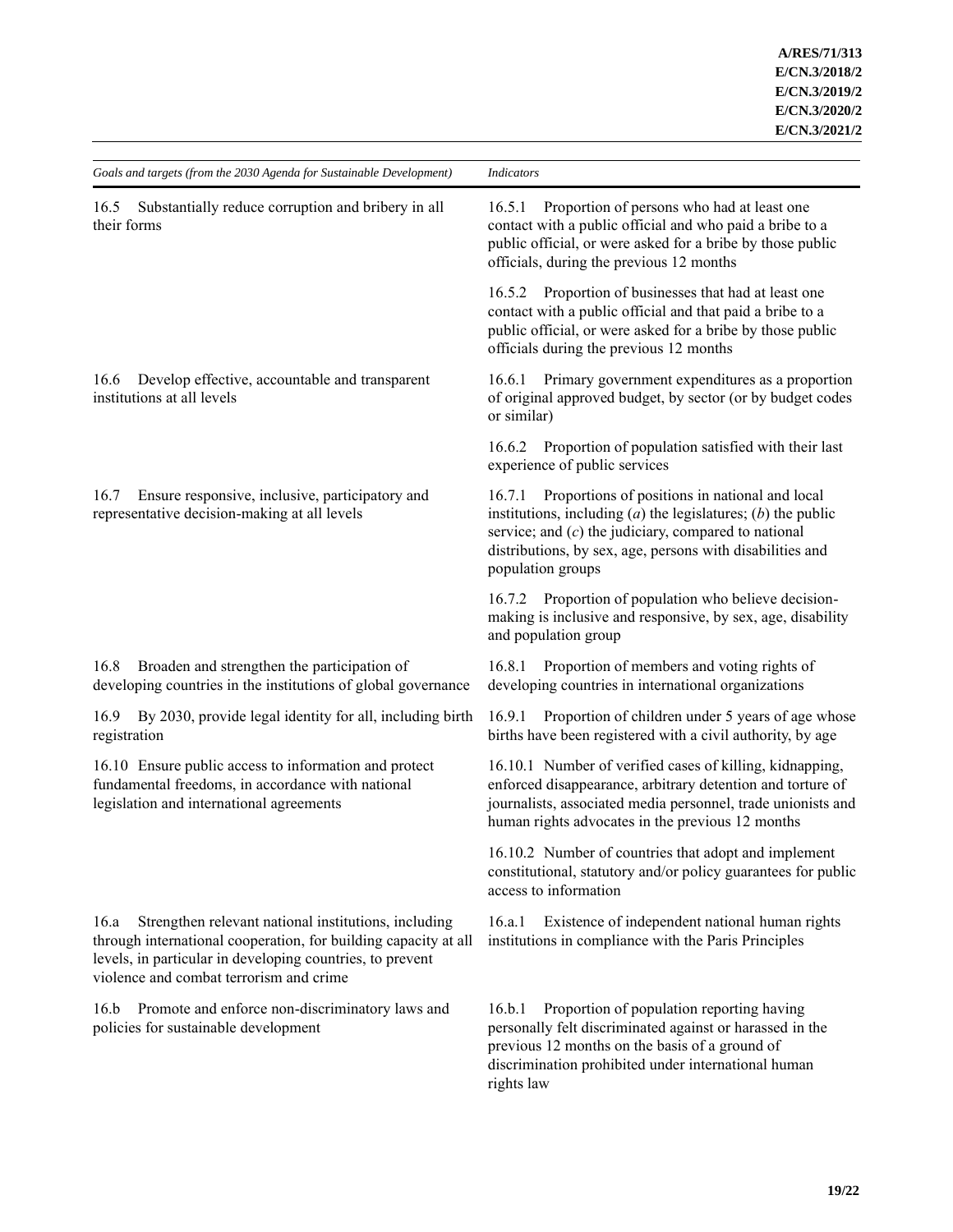| Goals and targets (from the 2030 Agenda for Sustainable Development)                                                                                                                                                                    | <b>Indicators</b>                                                                                                                                                                                                                                                        |  |
|-----------------------------------------------------------------------------------------------------------------------------------------------------------------------------------------------------------------------------------------|--------------------------------------------------------------------------------------------------------------------------------------------------------------------------------------------------------------------------------------------------------------------------|--|
| Substantially reduce corruption and bribery in all<br>16.5<br>their forms                                                                                                                                                               | Proportion of persons who had at least one<br>16.5.1<br>contact with a public official and who paid a bribe to a<br>public official, or were asked for a bribe by those public<br>officials, during the previous 12 months                                               |  |
|                                                                                                                                                                                                                                         | 16.5.2 Proportion of businesses that had at least one<br>contact with a public official and that paid a bribe to a<br>public official, or were asked for a bribe by those public<br>officials during the previous 12 months                                              |  |
| Develop effective, accountable and transparent<br>16.6<br>institutions at all levels                                                                                                                                                    | Primary government expenditures as a proportion<br>16.6.1<br>of original approved budget, by sector (or by budget codes<br>or similar)                                                                                                                                   |  |
|                                                                                                                                                                                                                                         | Proportion of population satisfied with their last<br>16.6.2<br>experience of public services                                                                                                                                                                            |  |
| Ensure responsive, inclusive, participatory and<br>16.7<br>representative decision-making at all levels                                                                                                                                 | Proportions of positions in national and local<br>16.7.1<br>institutions, including $(a)$ the legislatures; $(b)$ the public<br>service; and $(c)$ the judiciary, compared to national<br>distributions, by sex, age, persons with disabilities and<br>population groups |  |
|                                                                                                                                                                                                                                         | 16.7.2 Proportion of population who believe decision-<br>making is inclusive and responsive, by sex, age, disability<br>and population group                                                                                                                             |  |
| 16.8<br>Broaden and strengthen the participation of<br>developing countries in the institutions of global governance                                                                                                                    | 16.8.1 Proportion of members and voting rights of<br>developing countries in international organizations                                                                                                                                                                 |  |
| 16.9<br>By 2030, provide legal identity for all, including birth<br>registration                                                                                                                                                        | Proportion of children under 5 years of age whose<br>16.9.1<br>births have been registered with a civil authority, by age                                                                                                                                                |  |
| 16.10 Ensure public access to information and protect<br>fundamental freedoms, in accordance with national<br>legislation and international agreements                                                                                  | 16.10.1 Number of verified cases of killing, kidnapping,<br>enforced disappearance, arbitrary detention and torture of<br>journalists, associated media personnel, trade unionists and<br>human rights advocates in the previous 12 months                               |  |
|                                                                                                                                                                                                                                         | 16.10.2 Number of countries that adopt and implement<br>constitutional, statutory and/or policy guarantees for public<br>access to information                                                                                                                           |  |
| 16.a<br>Strengthen relevant national institutions, including<br>through international cooperation, for building capacity at all<br>levels, in particular in developing countries, to prevent<br>violence and combat terrorism and crime | Existence of independent national human rights<br>16.a.1<br>institutions in compliance with the Paris Principles                                                                                                                                                         |  |
| 16.b<br>Promote and enforce non-discriminatory laws and<br>policies for sustainable development                                                                                                                                         | Proportion of population reporting having<br>16.b.1<br>personally felt discriminated against or harassed in the<br>previous 12 months on the basis of a ground of<br>discrimination prohibited under international human<br>rights law                                   |  |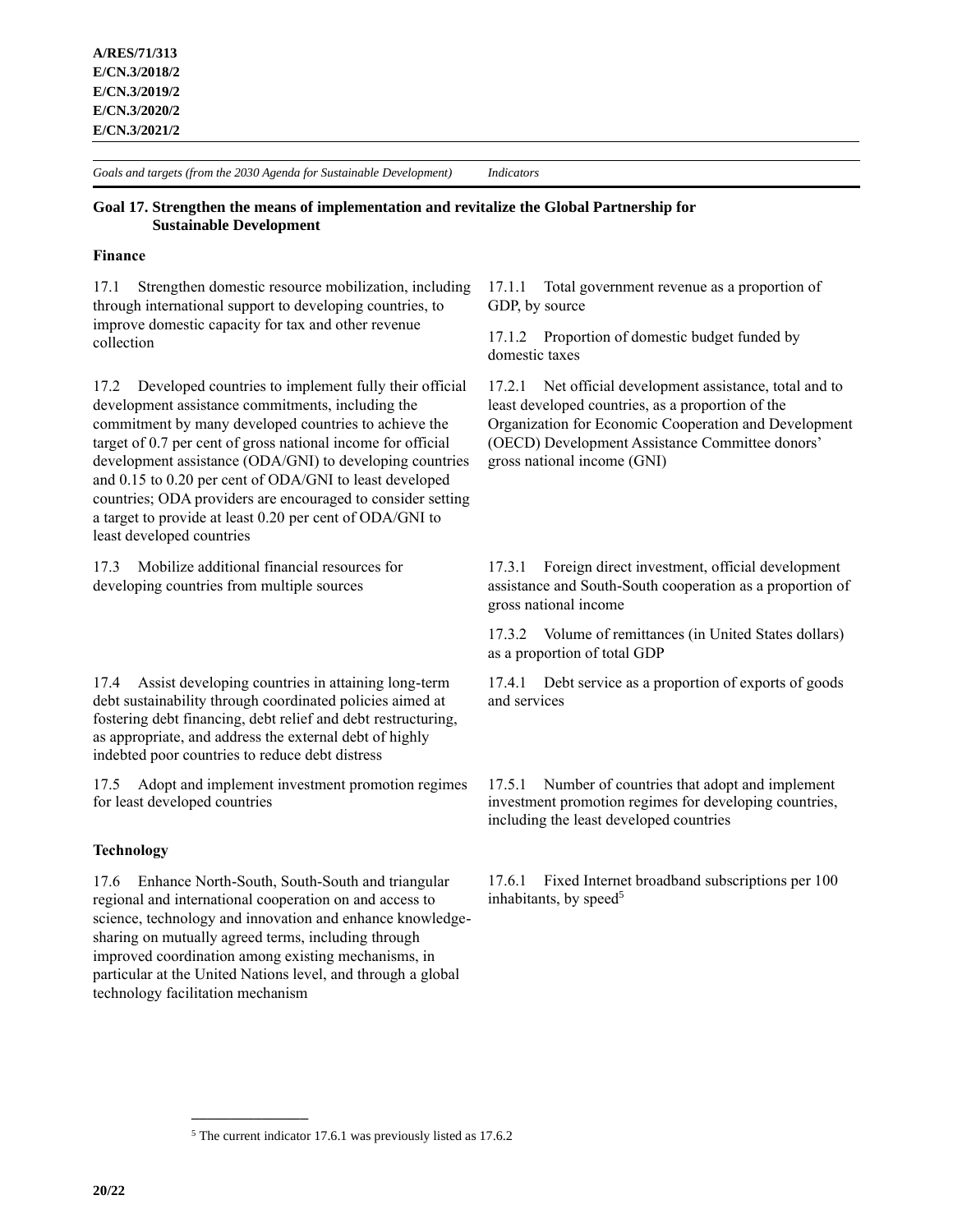## **Goal 17. Strengthen the means of implementation and revitalize the Global Partnership for Sustainable Development**

# **Finance**

17.1 Strengthen domestic resource mobilization, including through international support to developing countries, to improve domestic capacity for tax and other revenue collection

17.2 Developed countries to implement fully their official development assistance commitments, including the commitment by many developed countries to achieve the target of 0.7 per cent of gross national income for official development assistance (ODA/GNI) to developing countries and 0.15 to 0.20 per cent of ODA/GNI to least developed countries; ODA providers are encouraged to consider setting a target to provide at least 0.20 per cent of ODA/GNI to least developed countries

17.3 Mobilize additional financial resources for developing countries from multiple sources

17.4 Assist developing countries in attaining long-term debt sustainability through coordinated policies aimed at fostering debt financing, debt relief and debt restructuring, as appropriate, and address the external debt of highly indebted poor countries to reduce debt distress

17.5 Adopt and implement investment promotion regimes for least developed countries

### **Technology**

17.6 Enhance North-South, South-South and triangular regional and international cooperation on and access to science, technology and innovation and enhance knowledgesharing on mutually agreed terms, including through improved coordination among existing mechanisms, in particular at the United Nations level, and through a global technology facilitation mechanism

**\_\_\_\_\_\_\_\_\_\_\_\_\_\_\_**

17.1.1 Total government revenue as a proportion of GDP, by source

17.1.2 Proportion of domestic budget funded by domestic taxes

17.2.1 Net official development assistance, total and to least developed countries, as a proportion of the Organization for Economic Cooperation and Development (OECD) Development Assistance Committee donors' gross national income (GNI)

17.3.1 Foreign direct investment, official development assistance and South-South cooperation as a proportion of gross national income

17.3.2 Volume of remittances (in United States dollars) as a proportion of total GDP

17.4.1 Debt service as a proportion of exports of goods and services

17.5.1 Number of countries that adopt and implement investment promotion regimes for developing countries, including the least developed countries

17.6.1 Fixed Internet broadband subscriptions per 100 inhabitants, by speed<sup>5</sup>

<sup>5</sup> The current indicator 17.6.1 was previously listed as 17.6.2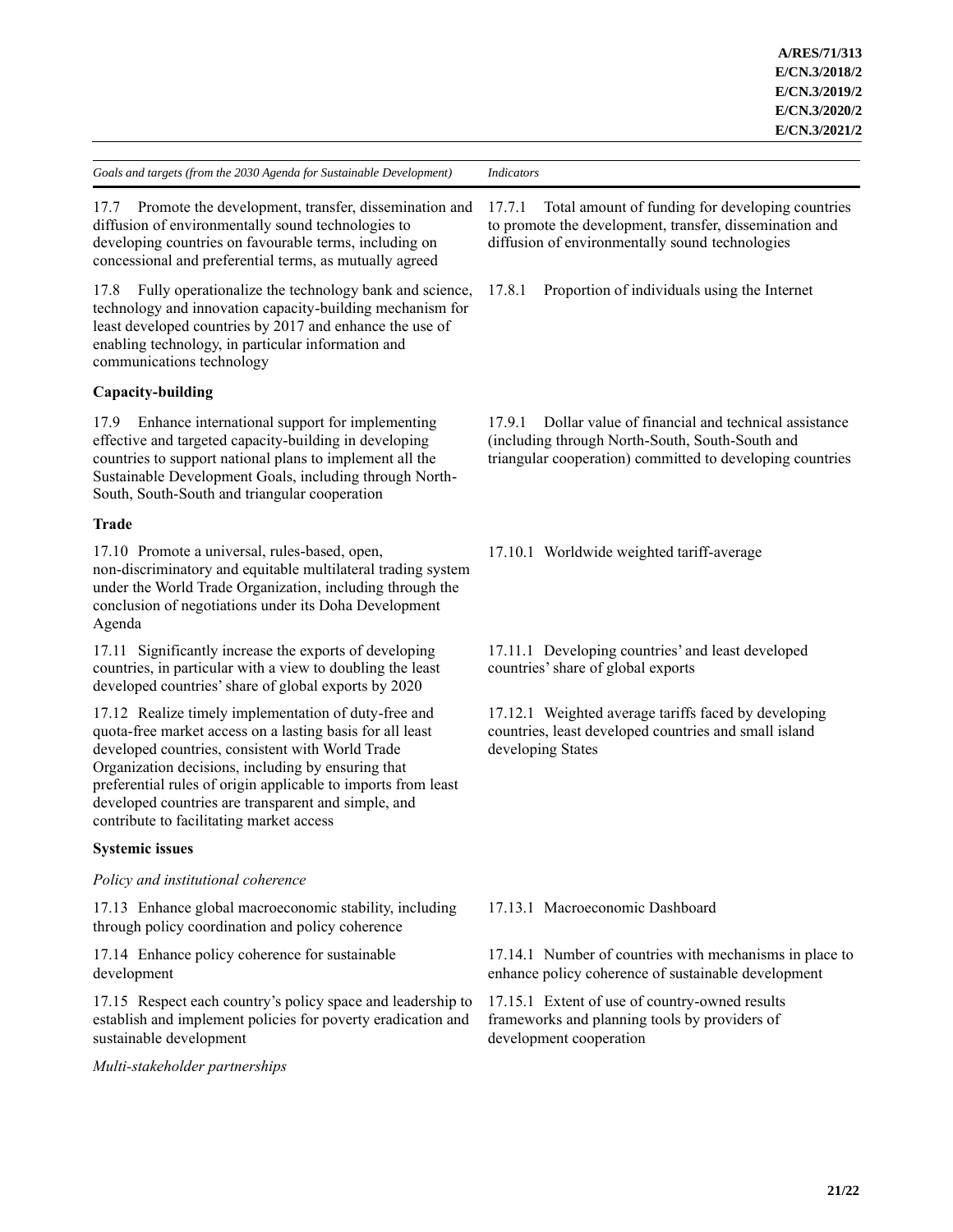17.7 Promote the development, transfer, dissemination and diffusion of environmentally sound technologies to developing countries on favourable terms, including on concessional and preferential terms, as mutually agreed

17.8 Fully operationalize the technology bank and science, technology and innovation capacity-building mechanism for least developed countries by 2017 and enhance the use of enabling technology, in particular information and communications technology

# **Capacity-building**

17.9 Enhance international support for implementing effective and targeted capacity-building in developing countries to support national plans to implement all the Sustainable Development Goals, including through North-South, South-South and triangular cooperation

# **Trade**

17.10 Promote a universal, rules-based, open, non-discriminatory and equitable multilateral trading system under the World Trade Organization, including through the conclusion of negotiations under its Doha Development Agenda

17.11 Significantly increase the exports of developing countries, in particular with a view to doubling the least developed countries' share of global exports by 2020

17.12 Realize timely implementation of duty-free and quota-free market access on a lasting basis for all least developed countries, consistent with World Trade Organization decisions, including by ensuring that preferential rules of origin applicable to imports from least developed countries are transparent and simple, and contribute to facilitating market access

# **Systemic issues**

# *Policy and institutional coherence*

17.13 Enhance global macroeconomic stability, including through policy coordination and policy coherence

17.14 Enhance policy coherence for sustainable development

17.15 Respect each country's policy space and leadership to establish and implement policies for poverty eradication and sustainable development

# *Multi-stakeholder partnerships*

17.7.1 Total amount of funding for developing countries to promote the development, transfer, dissemination and diffusion of environmentally sound technologies

17.8.1 Proportion of individuals using the Internet

17.9.1 Dollar value of financial and technical assistance (including through North-South, South-South and triangular cooperation) committed to developing countries

17.10.1 Worldwide weighted tariff-average

17.11.1 Developing countries' and least developed countries' share of global exports

17.12.1 Weighted average tariffs faced by developing countries, least developed countries and small island developing States

17.13.1 Macroeconomic Dashboard

17.14.1 Number of countries with mechanisms in place to enhance policy coherence of sustainable development

17.15.1 Extent of use of country-owned results frameworks and planning tools by providers of development cooperation